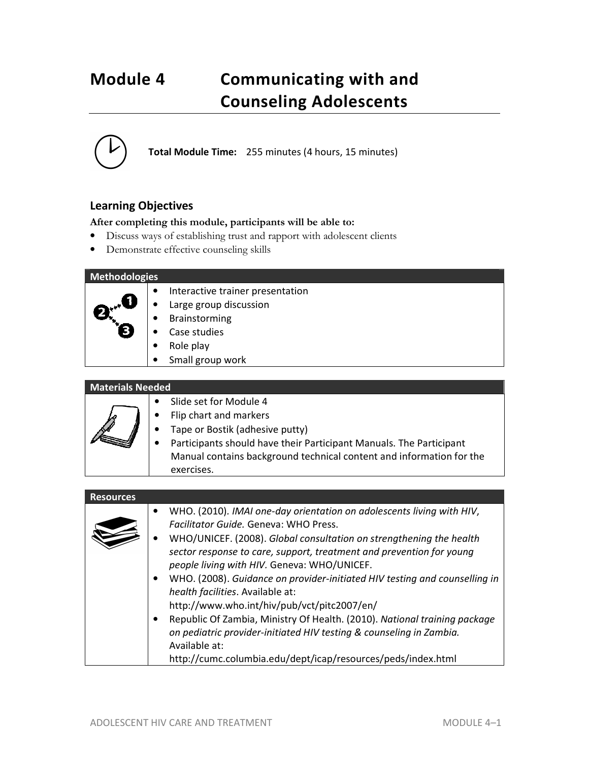# **Module 4 Communicating with and Counseling Adolescents**

**Total Module Time:** 255 minutes (4 hours, 15 minutes)

# **Learning Objectives**

### **After completing this module, participants will be able to:**

- Discuss ways of establishing trust and rapport with adolescent clients
- Demonstrate effective counseling skills

### **Methodologies**

- Interactive trainer presentation
- Large group discussion
- **Brainstorming**
- Case studies
- Role play
- Small group work

#### **Materials Needed**

- Slide set for Module 4
- Flip chart and markers
- Tape or Bostik (adhesive putty)
- Participants should have their Participant Manuals. The Participant Manual contains background technical content and information for the exercises.

| <b>Resources</b> |                                                                                                                                                                                                                                                                                                                                                                                                                                                                                                                                                                                                                                                                                                                         |
|------------------|-------------------------------------------------------------------------------------------------------------------------------------------------------------------------------------------------------------------------------------------------------------------------------------------------------------------------------------------------------------------------------------------------------------------------------------------------------------------------------------------------------------------------------------------------------------------------------------------------------------------------------------------------------------------------------------------------------------------------|
|                  | WHO. (2010). IMAI one-day orientation on adolescents living with HIV,<br>٠<br>Facilitator Guide. Geneva: WHO Press.<br>WHO/UNICEF. (2008). Global consultation on strengthening the health<br>sector response to care, support, treatment and prevention for young<br>people living with HIV. Geneva: WHO/UNICEF.<br>WHO. (2008). Guidance on provider-initiated HIV testing and counselling in<br>health facilities. Available at:<br>http://www.who.int/hiv/pub/vct/pitc2007/en/<br>Republic Of Zambia, Ministry Of Health. (2010). National training package<br>on pediatric provider-initiated HIV testing & counseling in Zambia.<br>Available at:<br>http://cumc.columbia.edu/dept/icap/resources/peds/index.html |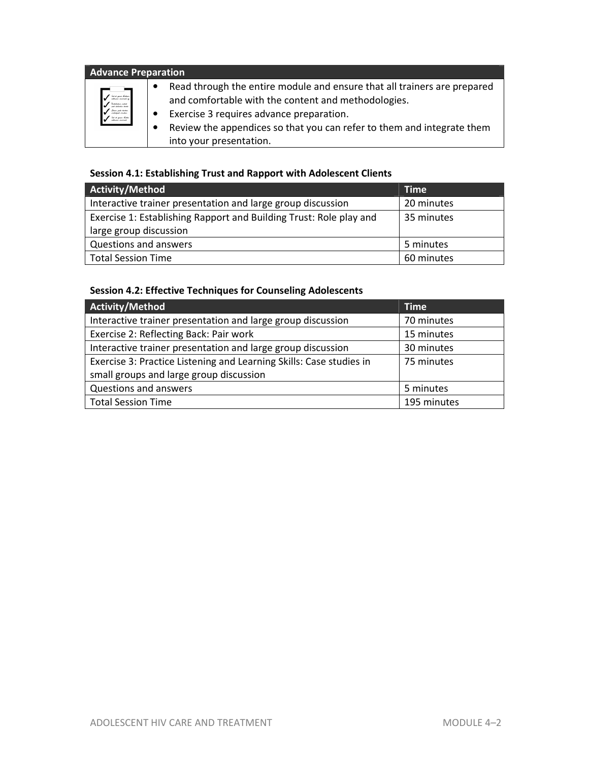| <b>Advance Preparation</b>                                                                                                                    |                                                                                                                                                                                                                                                                                  |  |
|-----------------------------------------------------------------------------------------------------------------------------------------------|----------------------------------------------------------------------------------------------------------------------------------------------------------------------------------------------------------------------------------------------------------------------------------|--|
| a <sup>1</sup> dat at gram bakkan.<br>Nasion animal in 19<br>.<br>Kulatulua radul<br>pal-holankin kanke<br>n bet et gram hotel.<br>Statistics | Read through the entire module and ensure that all trainers are prepared<br>and comfortable with the content and methodologies.<br>Exercise 3 requires advance preparation.<br>Review the appendices so that you can refer to them and integrate them<br>into your presentation. |  |

# **Session 4.1: Establishing Trust and Rapport with Adolescent Clients**

| <b>Activity/Method</b>                                             | <b>Time</b> |
|--------------------------------------------------------------------|-------------|
| Interactive trainer presentation and large group discussion        | 20 minutes  |
| Exercise 1: Establishing Rapport and Building Trust: Role play and | 35 minutes  |
| large group discussion                                             |             |
| Questions and answers                                              | 5 minutes   |
| <b>Total Session Time</b>                                          | 60 minutes  |

# **Session 4.2: Effective Techniques for Counseling Adolescents**

| Activity/Method                                                     | <b>Time</b> |
|---------------------------------------------------------------------|-------------|
| Interactive trainer presentation and large group discussion         | 70 minutes  |
| Exercise 2: Reflecting Back: Pair work                              | 15 minutes  |
| Interactive trainer presentation and large group discussion         | 30 minutes  |
| Exercise 3: Practice Listening and Learning Skills: Case studies in | 75 minutes  |
| small groups and large group discussion                             |             |
| Questions and answers                                               | 5 minutes   |
| <b>Total Session Time</b>                                           | 195 minutes |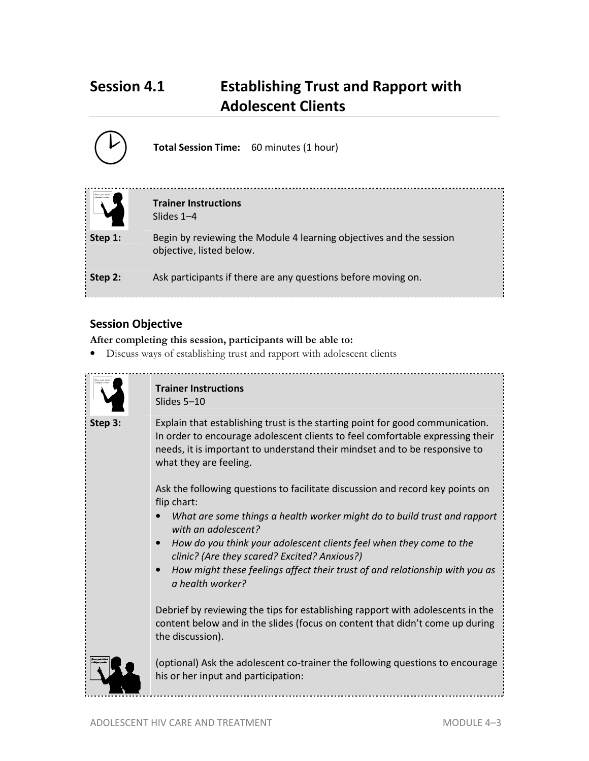# **Session 4.1 Establishing Trust and Rapport with Adolescent Clients**

|         | Total Session Time: 60 minutes (1 hour)                                                         |  |
|---------|-------------------------------------------------------------------------------------------------|--|
|         | <b>Trainer Instructions</b><br>Slides $1-4$                                                     |  |
| Step 1: | Begin by reviewing the Module 4 learning objectives and the session<br>objective, listed below. |  |
| Step 2: | Ask participants if there are any questions before moving on.                                   |  |

# **Session Objective**

**After completing this session, participants will be able to:**

• Discuss ways of establishing trust and rapport with adolescent clients



**Trainer Instructions**  Slides 5–10

**Step 3:** Explain that establishing trust is the starting point for good communication. In order to encourage adolescent clients to feel comfortable expressing their needs, it is important to understand their mindset and to be responsive to what they are feeling.

> Ask the following questions to facilitate discussion and record key points on flip chart:

- *What are some things a health worker might do to build trust and rapport with an adolescent?*
- *How do you think your adolescent clients feel when they come to the clinic? (Are they scared? Excited? Anxious?)*
- *How might these feelings affect their trust of and relationship with you as a health worker?*

Debrief by reviewing the tips for establishing rapport with adolescents in the content below and in the slides (focus on content that didn't come up during the discussion).



(optional) Ask the adolescent co-trainer the following questions to encourage his or her input and participation: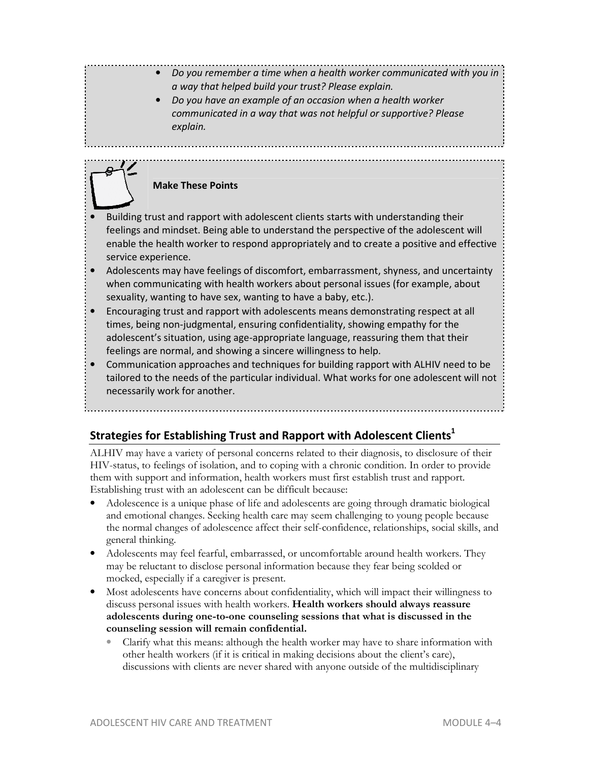# • *Do you remember a time when a health worker communicated with you in a way that helped build your trust? Please explain.*

• *Do you have an example of an occasion when a health worker communicated in a way that was not helpful or supportive? Please explain.* 

# **Make These Points**

- Building trust and rapport with adolescent clients starts with understanding their feelings and mindset. Being able to understand the perspective of the adolescent will enable the health worker to respond appropriately and to create a positive and effective service experience.
- Adolescents may have feelings of discomfort, embarrassment, shyness, and uncertainty when communicating with health workers about personal issues (for example, about sexuality, wanting to have sex, wanting to have a baby, etc.).
- Encouraging trust and rapport with adolescents means demonstrating respect at all times, being non-judgmental, ensuring confidentiality, showing empathy for the adolescent's situation, using age-appropriate language, reassuring them that their feelings are normal, and showing a sincere willingness to help.
- Communication approaches and techniques for building rapport with ALHIV need to be tailored to the needs of the particular individual. What works for one adolescent will not necessarily work for another.

# **Strategies for Establishing Trust and Rapport with Adolescent Clients<sup>1</sup>**

ALHIV may have a variety of personal concerns related to their diagnosis, to disclosure of their HIV-status, to feelings of isolation, and to coping with a chronic condition. In order to provide them with support and information, health workers must first establish trust and rapport. Establishing trust with an adolescent can be difficult because:

- Adolescence is a unique phase of life and adolescents are going through dramatic biological and emotional changes. Seeking health care may seem challenging to young people because the normal changes of adolescence affect their self-confidence, relationships, social skills, and general thinking.
- Adolescents may feel fearful, embarrassed, or uncomfortable around health workers. They may be reluctant to disclose personal information because they fear being scolded or mocked, especially if a caregiver is present.
- Most adolescents have concerns about confidentiality, which will impact their willingness to discuss personal issues with health workers. **Health workers should always reassure adolescents during one-to-one counseling sessions that what is discussed in the counseling session will remain confidential.**
	- Clarify what this means: although the health worker may have to share information with other health workers (if it is critical in making decisions about the client's care), discussions with clients are never shared with anyone outside of the multidisciplinary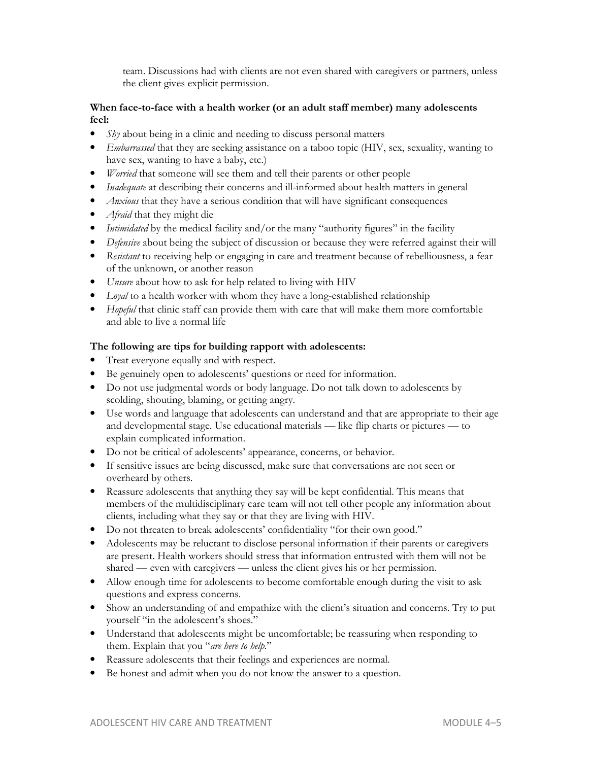team. Discussions had with clients are not even shared with caregivers or partners, unless the client gives explicit permission.

#### **When face-to-face with a health worker (or an adult staff member) many adolescents feel:**

- *Shy* about being in a clinic and needing to discuss personal matters
- *Embarrassed* that they are seeking assistance on a taboo topic (HIV, sex, sexuality, wanting to have sex, wanting to have a baby, etc.)
- *Worried* that someone will see them and tell their parents or other people
- *Inadequate* at describing their concerns and ill-informed about health matters in general
- *Anxious* that they have a serious condition that will have significant consequences
- *Afraid* that they might die
- *Intimidated* by the medical facility and/or the many "authority figures" in the facility
- *Defensive* about being the subject of discussion or because they were referred against their will
- *Resistant* to receiving help or engaging in care and treatment because of rebelliousness, a fear of the unknown, or another reason
- *Unsure* about how to ask for help related to living with HIV
- *Loyal* to a health worker with whom they have a long-established relationship
- *Hopeful* that clinic staff can provide them with care that will make them more comfortable and able to live a normal life

#### **The following are tips for building rapport with adolescents:**

- Treat everyone equally and with respect.
- Be genuinely open to adolescents' questions or need for information.
- Do not use judgmental words or body language. Do not talk down to adolescents by scolding, shouting, blaming, or getting angry.
- Use words and language that adolescents can understand and that are appropriate to their age and developmental stage. Use educational materials — like flip charts or pictures — to explain complicated information.
- Do not be critical of adolescents' appearance, concerns, or behavior.
- If sensitive issues are being discussed, make sure that conversations are not seen or overheard by others.
- Reassure adolescents that anything they say will be kept confidential. This means that members of the multidisciplinary care team will not tell other people any information about clients, including what they say or that they are living with HIV.
- Do not threaten to break adolescents' confidentiality "for their own good."
- Adolescents may be reluctant to disclose personal information if their parents or caregivers are present. Health workers should stress that information entrusted with them will not be shared — even with caregivers — unless the client gives his or her permission.
- Allow enough time for adolescents to become comfortable enough during the visit to ask questions and express concerns.
- Show an understanding of and empathize with the client's situation and concerns. Try to put yourself "in the adolescent's shoes."
- Understand that adolescents might be uncomfortable; be reassuring when responding to them. Explain that you "*are here to help*."
- Reassure adolescents that their feelings and experiences are normal.
- Be honest and admit when you do not know the answer to a question.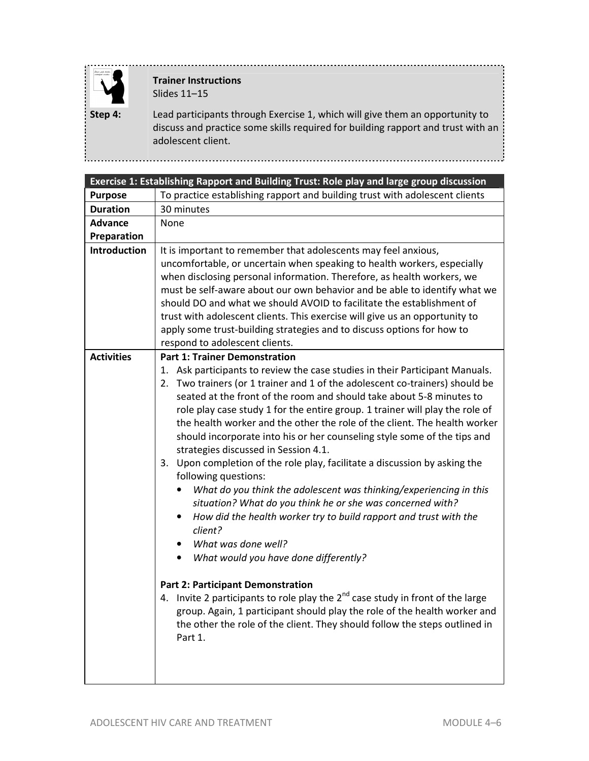

# **Trainer Instructions**  Slides 11–15

**Step 4:** Lead participants through Exercise 1, which will give them an opportunity to discuss and practice some skills required for building rapport and trust with an adolescent client.

|                   | Exercise 1: Establishing Rapport and Building Trust: Role play and large group discussion                                                                                                                                                                                                                                                                                                                                                                                                                                                                                                                                                                                                                                                                                                                                                                                                                                                                                                                                                                                                                                                                                                                                                                                     |  |  |
|-------------------|-------------------------------------------------------------------------------------------------------------------------------------------------------------------------------------------------------------------------------------------------------------------------------------------------------------------------------------------------------------------------------------------------------------------------------------------------------------------------------------------------------------------------------------------------------------------------------------------------------------------------------------------------------------------------------------------------------------------------------------------------------------------------------------------------------------------------------------------------------------------------------------------------------------------------------------------------------------------------------------------------------------------------------------------------------------------------------------------------------------------------------------------------------------------------------------------------------------------------------------------------------------------------------|--|--|
| <b>Purpose</b>    | To practice establishing rapport and building trust with adolescent clients                                                                                                                                                                                                                                                                                                                                                                                                                                                                                                                                                                                                                                                                                                                                                                                                                                                                                                                                                                                                                                                                                                                                                                                                   |  |  |
| <b>Duration</b>   | 30 minutes                                                                                                                                                                                                                                                                                                                                                                                                                                                                                                                                                                                                                                                                                                                                                                                                                                                                                                                                                                                                                                                                                                                                                                                                                                                                    |  |  |
| <b>Advance</b>    | None                                                                                                                                                                                                                                                                                                                                                                                                                                                                                                                                                                                                                                                                                                                                                                                                                                                                                                                                                                                                                                                                                                                                                                                                                                                                          |  |  |
| Preparation       |                                                                                                                                                                                                                                                                                                                                                                                                                                                                                                                                                                                                                                                                                                                                                                                                                                                                                                                                                                                                                                                                                                                                                                                                                                                                               |  |  |
| Introduction      | It is important to remember that adolescents may feel anxious,<br>uncomfortable, or uncertain when speaking to health workers, especially<br>when disclosing personal information. Therefore, as health workers, we<br>must be self-aware about our own behavior and be able to identify what we<br>should DO and what we should AVOID to facilitate the establishment of<br>trust with adolescent clients. This exercise will give us an opportunity to<br>apply some trust-building strategies and to discuss options for how to<br>respond to adolescent clients.                                                                                                                                                                                                                                                                                                                                                                                                                                                                                                                                                                                                                                                                                                          |  |  |
| <b>Activities</b> | <b>Part 1: Trainer Demonstration</b><br>1. Ask participants to review the case studies in their Participant Manuals.<br>2. Two trainers (or 1 trainer and 1 of the adolescent co-trainers) should be<br>seated at the front of the room and should take about 5-8 minutes to<br>role play case study 1 for the entire group. 1 trainer will play the role of<br>the health worker and the other the role of the client. The health worker<br>should incorporate into his or her counseling style some of the tips and<br>strategies discussed in Session 4.1.<br>3. Upon completion of the role play, facilitate a discussion by asking the<br>following questions:<br>What do you think the adolescent was thinking/experiencing in this<br>situation? What do you think he or she was concerned with?<br>How did the health worker try to build rapport and trust with the<br>client?<br>What was done well?<br>$\bullet$<br>What would you have done differently?<br><b>Part 2: Participant Demonstration</b><br>4. Invite 2 participants to role play the $2^{nd}$ case study in front of the large<br>group. Again, 1 participant should play the role of the health worker and<br>the other the role of the client. They should follow the steps outlined in<br>Part 1. |  |  |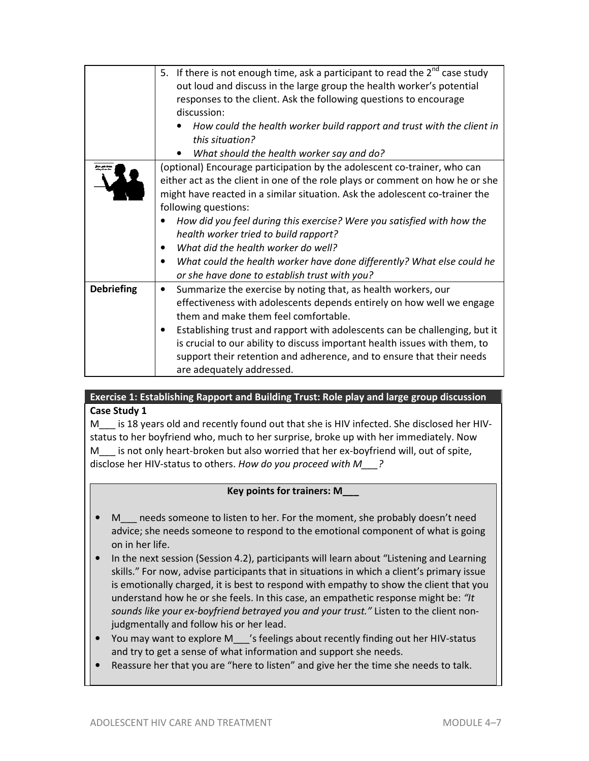|                   | 5. If there is not enough time, ask a participant to read the $2^{nd}$ case study |  |
|-------------------|-----------------------------------------------------------------------------------|--|
|                   | out loud and discuss in the large group the health worker's potential             |  |
|                   | responses to the client. Ask the following questions to encourage                 |  |
|                   | discussion:                                                                       |  |
|                   | How could the health worker build rapport and trust with the client in            |  |
|                   | this situation?                                                                   |  |
|                   | What should the health worker say and do?                                         |  |
|                   | (optional) Encourage participation by the adolescent co-trainer, who can          |  |
|                   | either act as the client in one of the role plays or comment on how he or she     |  |
|                   |                                                                                   |  |
|                   | might have reacted in a similar situation. Ask the adolescent co-trainer the      |  |
|                   | following questions:                                                              |  |
|                   | How did you feel during this exercise? Were you satisfied with how the            |  |
|                   | health worker tried to build rapport?                                             |  |
|                   | What did the health worker do well?                                               |  |
|                   | What could the health worker have done differently? What else could he            |  |
|                   | or she have done to establish trust with you?                                     |  |
| <b>Debriefing</b> | Summarize the exercise by noting that, as health workers, our<br>$\bullet$        |  |
|                   | effectiveness with adolescents depends entirely on how well we engage             |  |
|                   | them and make them feel comfortable.                                              |  |
|                   | Establishing trust and rapport with adolescents can be challenging, but it        |  |
|                   | is crucial to our ability to discuss important health issues with them, to        |  |
|                   |                                                                                   |  |
|                   | support their retention and adherence, and to ensure that their needs             |  |
|                   | are adequately addressed.                                                         |  |

# **Exercise 1: Establishing Rapport and Building Trust: Role play and large group discussion Case Study 1**

M is 18 years old and recently found out that she is HIV infected. She disclosed her HIVstatus to her boyfriend who, much to her surprise, broke up with her immediately. Now M is not only heart-broken but also worried that her ex-boyfriend will, out of spite, disclose her HIV-status to others. *How do you proceed with M\_\_\_?* 

## **Key points for trainers: M\_\_\_**

- M\_\_\_ needs someone to listen to her. For the moment, she probably doesn't need advice; she needs someone to respond to the emotional component of what is going on in her life.
- In the next session (Session 4.2), participants will learn about "Listening and Learning skills." For now, advise participants that in situations in which a client's primary issue is emotionally charged, it is best to respond with empathy to show the client that you understand how he or she feels. In this case, an empathetic response might be: *"It sounds like your ex-boyfriend betrayed you and your trust."* Listen to the client nonjudgmentally and follow his or her lead.
- You may want to explore M\_\_\_'s feelings about recently finding out her HIV-status and try to get a sense of what information and support she needs.
- Reassure her that you are "here to listen" and give her the time she needs to talk.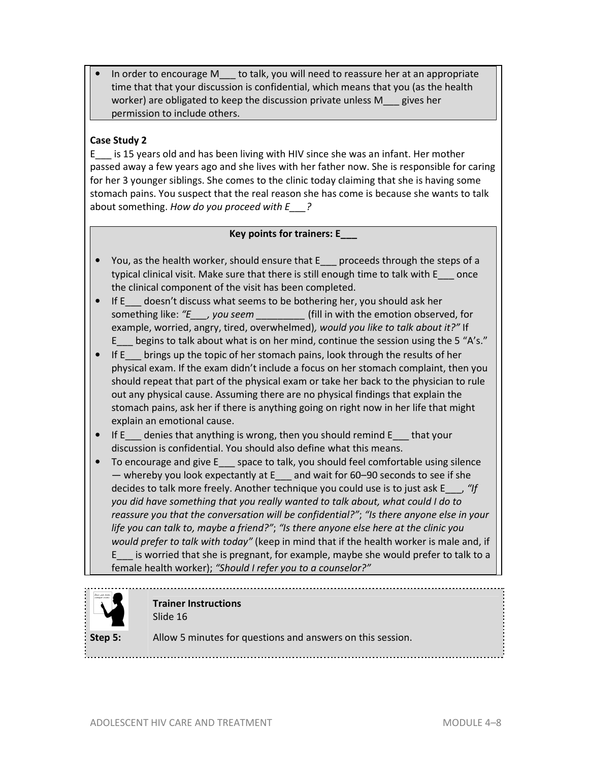In order to encourage M\_\_\_ to talk, you will need to reassure her at an appropriate time that that your discussion is confidential, which means that you (as the health worker) are obligated to keep the discussion private unless M\_\_\_ gives her permission to include others.

## **Case Study 2**

E\_\_\_ is 15 years old and has been living with HIV since she was an infant. Her mother passed away a few years ago and she lives with her father now. She is responsible for caring for her 3 younger siblings. She comes to the clinic today claiming that she is having some stomach pains. You suspect that the real reason she has come is because she wants to talk about something. *How do you proceed with E\_\_\_?*

### **Key points for trainers: E\_\_\_**

- You, as the health worker, should ensure that E\_\_\_ proceeds through the steps of a typical clinical visit. Make sure that there is still enough time to talk with E\_\_\_ once the clinical component of the visit has been completed.
- If E doesn't discuss what seems to be bothering her, you should ask her something like: *"E\_\_\_, you seem \_\_\_\_\_\_\_\_\_* (fill in with the emotion observed, for example, worried, angry, tired, overwhelmed)*, would you like to talk about it?"* If E\_\_\_ begins to talk about what is on her mind, continue the session using the 5 "A's."
- If E brings up the topic of her stomach pains, look through the results of her physical exam. If the exam didn't include a focus on her stomach complaint, then you should repeat that part of the physical exam or take her back to the physician to rule out any physical cause. Assuming there are no physical findings that explain the stomach pains, ask her if there is anything going on right now in her life that might explain an emotional cause.
- If E denies that anything is wrong, then you should remind E that your discussion is confidential. You should also define what this means.
- To encourage and give E space to talk, you should feel comfortable using silence — whereby you look expectantly at  $E_1$  and wait for 60–90 seconds to see if she decides to talk more freely. Another technique you could use is to just ask E\_\_\_, *"If you did have something that you really wanted to talk about, what could I do to reassure you that the conversation will be confidential?"*; *"Is there anyone else in your life you can talk to, maybe a friend?"*; *"Is there anyone else here at the clinic you would prefer to talk with today"* (keep in mind that if the health worker is male and, if E\_\_\_ is worried that she is pregnant, for example, maybe she would prefer to talk to a female health worker); *"Should I refer you to a counselor?"*



### **Trainer Instructions**  Slide 16

**Step 5:** Allow 5 minutes for questions and answers on this session.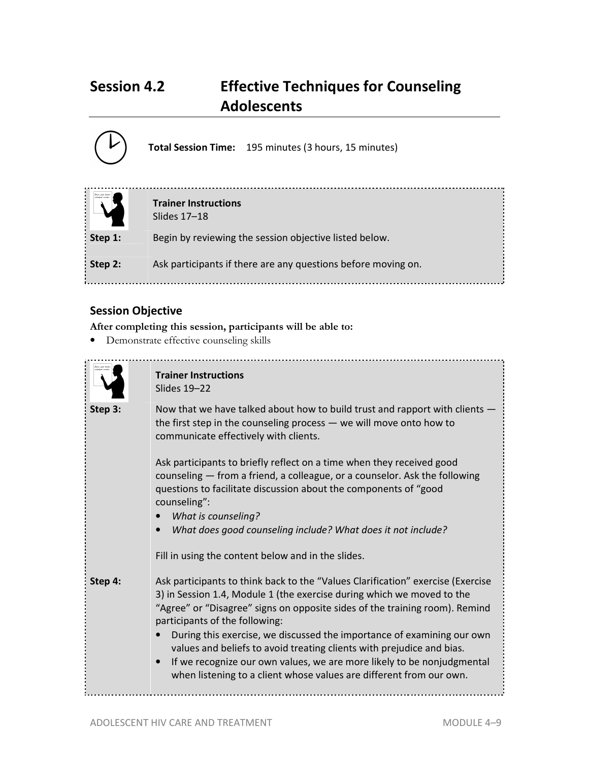# **Session 4.2 Effective Techniques for Counseling Adolescents**



# **Session Objective**

**After completing this session, participants will be able to:**

• Demonstrate effective counseling skills



# **Trainer Instructions**  Slides 19–22

**Step 3:** Now that we have talked about how to build trust and rapport with clients the first step in the counseling process — we will move onto how to communicate effectively with clients.

> Ask participants to briefly reflect on a time when they received good counseling — from a friend, a colleague, or a counselor. Ask the following questions to facilitate discussion about the components of "good counseling":

- *What is counseling?*
- *What does good counseling include? What does it not include?*

Fill in using the content below and in the slides.

**Step 4:** Ask participants to think back to the "Values Clarification" exercise (Exercise 3) in Session 1.4, Module 1 (the exercise during which we moved to the "Agree" or "Disagree" signs on opposite sides of the training room). Remind participants of the following:

- During this exercise, we discussed the importance of examining our own values and beliefs to avoid treating clients with prejudice and bias.
- If we recognize our own values, we are more likely to be nonjudgmental when listening to a client whose values are different from our own.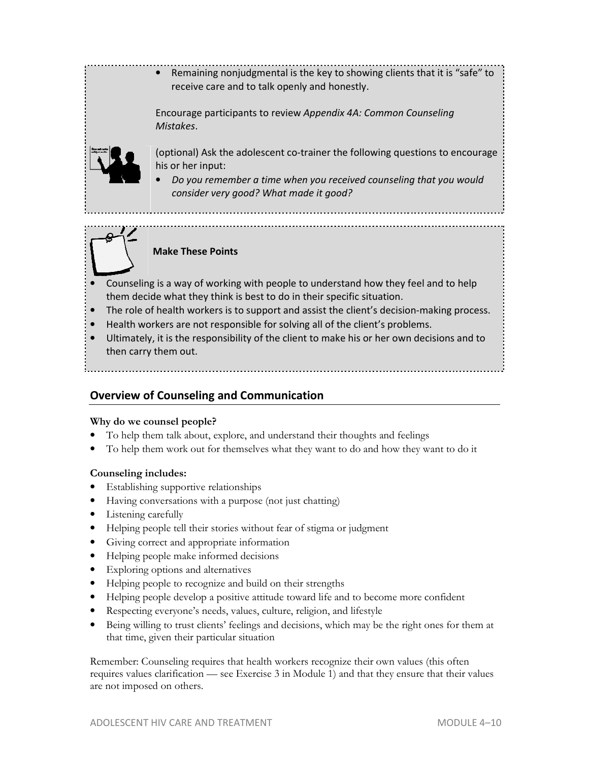# • Remaining nonjudgmental is the key to showing clients that it is "safe" to receive care and to talk openly and honestly.

Encourage participants to review *Appendix 4A: Common Counseling Mistakes*.



(optional) Ask the adolescent co-trainer the following questions to encourage his or her input:

• *Do you remember a time when you received counseling that you would consider very good? What made it good?* 

# **Make These Points**

- Counseling is a way of working with people to understand how they feel and to help them decide what they think is best to do in their specific situation.
- The role of health workers is to support and assist the client's decision-making process.
- Health workers are not responsible for solving all of the client's problems.
- Ultimately, it is the responsibility of the client to make his or her own decisions and to then carry them out.

# **Overview of Counseling and Communication**

## **Why do we counsel people?**

- To help them talk about, explore, and understand their thoughts and feelings
- To help them work out for themselves what they want to do and how they want to do it

## **Counseling includes:**

- Establishing supportive relationships
- Having conversations with a purpose (not just chatting)
- Listening carefully
- Helping people tell their stories without fear of stigma or judgment
- Giving correct and appropriate information
- Helping people make informed decisions
- Exploring options and alternatives
- Helping people to recognize and build on their strengths
- Helping people develop a positive attitude toward life and to become more confident
- Respecting everyone's needs, values, culture, religion, and lifestyle
- Being willing to trust clients' feelings and decisions, which may be the right ones for them at that time, given their particular situation

Remember: Counseling requires that health workers recognize their own values (this often requires values clarification — see Exercise 3 in Module 1) and that they ensure that their values are not imposed on others.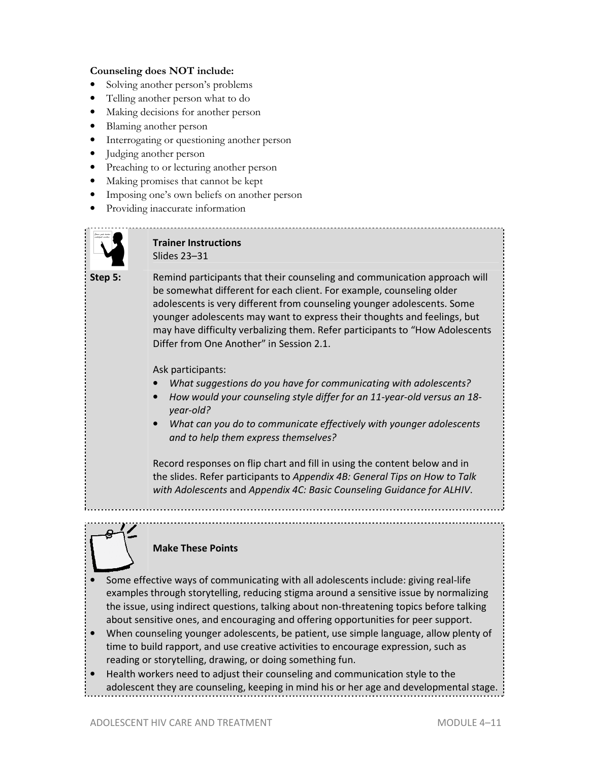#### **Counseling does NOT include:**

- Solving another person's problems
- Telling another person what to do
- Making decisions for another person
- Blaming another person
- Interrogating or questioning another person
- Judging another person
- Preaching to or lecturing another person
- Making promises that cannot be kept
- Imposing one's own beliefs on another person
- Providing inaccurate information



**Trainer Instructions**  Slides 23–31

**Step 5:** Remind participants that their counseling and communication approach will be somewhat different for each client. For example, counseling older adolescents is very different from counseling younger adolescents. Some younger adolescents may want to express their thoughts and feelings, but may have difficulty verbalizing them. Refer participants to "How Adolescents Differ from One Another" in Session 2.1.

Ask participants:

- *What suggestions do you have for communicating with adolescents?*
- *How would your counseling style differ for an 11-year-old versus an 18 year-old?*
- *What can you do to communicate effectively with younger adolescents and to help them express themselves?*

Record responses on flip chart and fill in using the content below and in the slides. Refer participants to *Appendix 4B: General Tips on How to Talk with Adolescents* and *Appendix 4C: Basic Counseling Guidance for ALHIV*.



#### **Make These Points**

- Some effective ways of communicating with all adolescents include: giving real-life examples through storytelling, reducing stigma around a sensitive issue by normalizing the issue, using indirect questions, talking about non-threatening topics before talking about sensitive ones, and encouraging and offering opportunities for peer support.
- When counseling younger adolescents, be patient, use simple language, allow plenty of time to build rapport, and use creative activities to encourage expression, such as reading or storytelling, drawing, or doing something fun.
- Health workers need to adjust their counseling and communication style to the adolescent they are counseling, keeping in mind his or her age and developmental stage.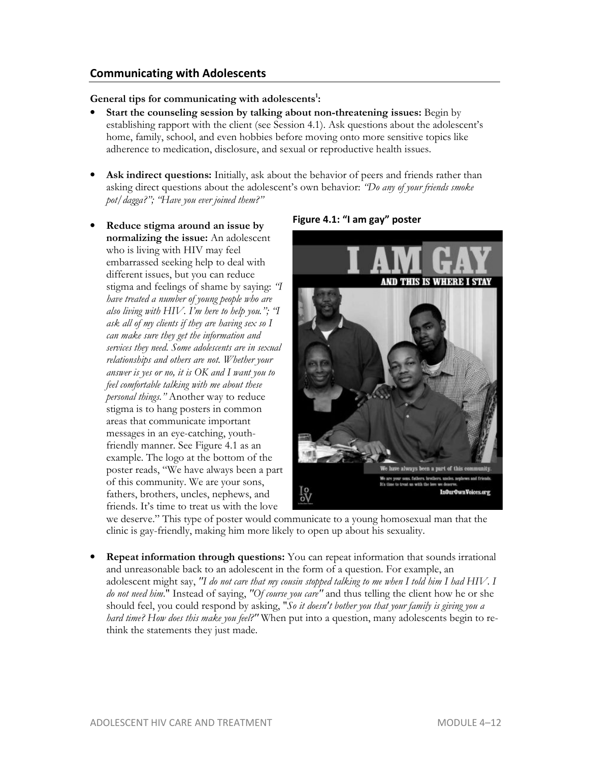# **Communicating with Adolescents**

#### **General tips for communicating with adolescents<sup>1</sup> :**

- **Start the counseling session by talking about non-threatening issues:** Begin by establishing rapport with the client (see Session 4.1). Ask questions about the adolescent's home, family, school, and even hobbies before moving onto more sensitive topics like adherence to medication, disclosure, and sexual or reproductive health issues.
- Ask indirect questions: Initially, ask about the behavior of peers and friends rather than asking direct questions about the adolescent's own behavior: *"Do any of your friends smoke pot/dagga?"; "Have you ever joined them?"*
- **Reduce stigma around an issue by normalizing the issue:** An adolescent who is living with HIV may feel embarrassed seeking help to deal with different issues, but you can reduce stigma and feelings of shame by saying: *"I have treated a number of young people who are also living with HIV. I'm here to help you."; "I ask all of my clients if they are having sex so I can make sure they get the information and services they need. Some adolescents are in sexual relationships and others are not. Whether your answer is yes or no, it is OK and I want you to feel comfortable talking with me about these personal things."* Another way to reduce stigma is to hang posters in common areas that communicate important messages in an eye-catching, youthfriendly manner. See Figure 4.1 as an example. The logo at the bottom of the poster reads, "We have always been a part of this community. We are your sons, fathers, brothers, uncles, nephews, and friends. It's time to treat us with the love



**Figure 4.1: "I am gay" poster** 

we deserve." This type of poster would communicate to a young homosexual man that the clinic is gay-friendly, making him more likely to open up about his sexuality.

• **Repeat information through questions:** You can repeat information that sounds irrational and unreasonable back to an adolescent in the form of a question. For example, an adolescent might say, *"I do not care that my cousin stopped talking to me when I told him I had HIV*. *I do not need him*." Instead of saying, *"Of course you care"* and thus telling the client how he or she should feel, you could respond by asking, "*So it doesn't bother you that your family is giving you a hard time? How does this make you feel?"* When put into a question, many adolescents begin to rethink the statements they just made.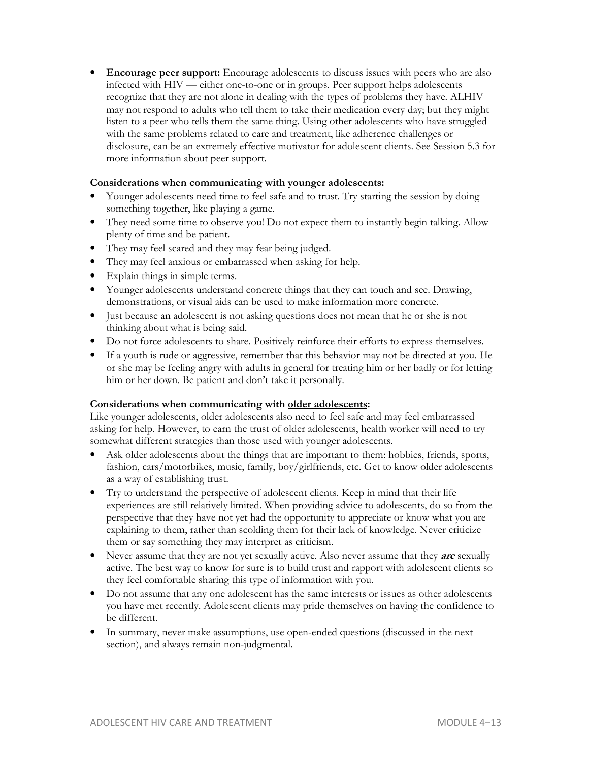**Encourage peer support:** Encourage adolescents to discuss issues with peers who are also infected with HIV — either one-to-one or in groups. Peer support helps adolescents recognize that they are not alone in dealing with the types of problems they have. ALHIV may not respond to adults who tell them to take their medication every day; but they might listen to a peer who tells them the same thing. Using other adolescents who have struggled with the same problems related to care and treatment, like adherence challenges or disclosure, can be an extremely effective motivator for adolescent clients. See Session 5.3 for more information about peer support.

#### **Considerations when communicating with younger adolescents:**

- Younger adolescents need time to feel safe and to trust. Try starting the session by doing something together, like playing a game.
- They need some time to observe you! Do not expect them to instantly begin talking. Allow plenty of time and be patient.
- They may feel scared and they may fear being judged.
- They may feel anxious or embarrassed when asking for help.
- Explain things in simple terms.
- Younger adolescents understand concrete things that they can touch and see. Drawing, demonstrations, or visual aids can be used to make information more concrete.
- Just because an adolescent is not asking questions does not mean that he or she is not thinking about what is being said.
- Do not force adolescents to share. Positively reinforce their efforts to express themselves.
- If a youth is rude or aggressive, remember that this behavior may not be directed at you. He or she may be feeling angry with adults in general for treating him or her badly or for letting him or her down. Be patient and don't take it personally.

#### **Considerations when communicating with older adolescents:**

Like younger adolescents, older adolescents also need to feel safe and may feel embarrassed asking for help. However, to earn the trust of older adolescents, health worker will need to try somewhat different strategies than those used with younger adolescents.

- Ask older adolescents about the things that are important to them: hobbies, friends, sports, fashion, cars/motorbikes, music, family, boy/girlfriends, etc. Get to know older adolescents as a way of establishing trust.
- Try to understand the perspective of adolescent clients. Keep in mind that their life experiences are still relatively limited. When providing advice to adolescents, do so from the perspective that they have not yet had the opportunity to appreciate or know what you are explaining to them, rather than scolding them for their lack of knowledge. Never criticize them or say something they may interpret as criticism.
- Never assume that they are not yet sexually active. Also never assume that they **are** sexually active. The best way to know for sure is to build trust and rapport with adolescent clients so they feel comfortable sharing this type of information with you.
- Do not assume that any one adolescent has the same interests or issues as other adolescents you have met recently. Adolescent clients may pride themselves on having the confidence to be different.
- In summary, never make assumptions, use open-ended questions (discussed in the next section), and always remain non-judgmental.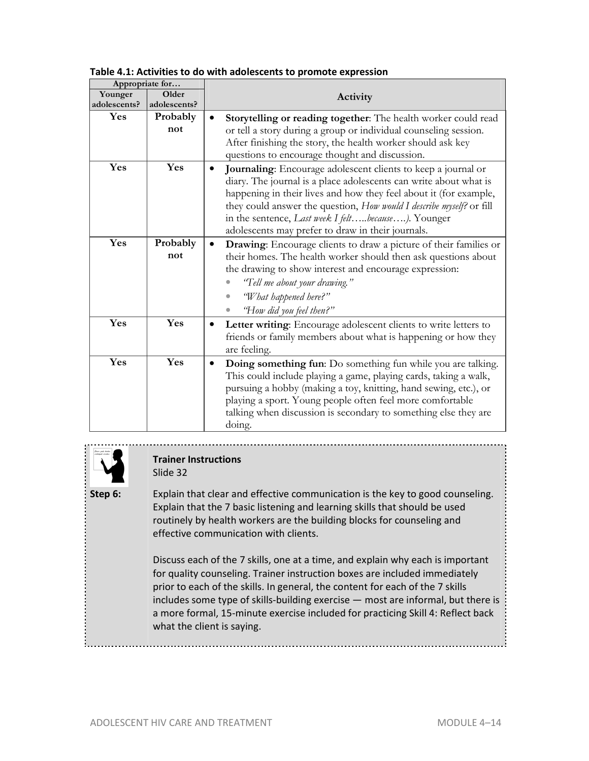| Appropriate for  |                 |                                                                                                                                                                                                                                                                                                                                                                                            |  |
|------------------|-----------------|--------------------------------------------------------------------------------------------------------------------------------------------------------------------------------------------------------------------------------------------------------------------------------------------------------------------------------------------------------------------------------------------|--|
| Older<br>Younger |                 | Activity                                                                                                                                                                                                                                                                                                                                                                                   |  |
| adolescents?     | adolescents?    |                                                                                                                                                                                                                                                                                                                                                                                            |  |
| <b>Yes</b>       | Probably        | Storytelling or reading together: The health worker could read<br>٠                                                                                                                                                                                                                                                                                                                        |  |
|                  | not             | or tell a story during a group or individual counseling session.<br>After finishing the story, the health worker should ask key<br>questions to encourage thought and discussion.                                                                                                                                                                                                          |  |
| Yes              | Yes             | Journaling: Encourage adolescent clients to keep a journal or<br>diary. The journal is a place adolescents can write about what is<br>happening in their lives and how they feel about it (for example,<br>they could answer the question, How would I describe myself? or fill<br>in the sentence, Last week I feltbecause). Younger<br>adolescents may prefer to draw in their journals. |  |
| Yes              | Probably<br>not | Drawing: Encourage clients to draw a picture of their families or<br>their homes. The health worker should then ask questions about<br>the drawing to show interest and encourage expression:<br>"Tell me about your drawing."<br>"What happened here?"<br>"How did you feel then?"                                                                                                        |  |
| Yes              | Yes             | Letter writing: Encourage adolescent clients to write letters to<br>friends or family members about what is happening or how they<br>are feeling.                                                                                                                                                                                                                                          |  |
| Yes              | Yes             | Doing something fun: Do something fun while you are talking.<br>$\bullet$<br>This could include playing a game, playing cards, taking a walk,<br>pursuing a hobby (making a toy, knitting, hand sewing, etc.), or<br>playing a sport. Young people often feel more comfortable<br>talking when discussion is secondary to something else they are<br>doing.                                |  |

#### **Table 4.1: Activities to do with adolescents to promote expression**



## **Trainer Instructions**  Slide 32

**Step 6:** Explain that clear and effective communication is the key to good counseling. Explain that the 7 basic listening and learning skills that should be used routinely by health workers are the building blocks for counseling and effective communication with clients.

> Discuss each of the 7 skills, one at a time, and explain why each is important for quality counseling. Trainer instruction boxes are included immediately prior to each of the skills. In general, the content for each of the 7 skills includes some type of skills-building exercise — most are informal, but there is a more formal, 15-minute exercise included for practicing Skill 4: Reflect back what the client is saying.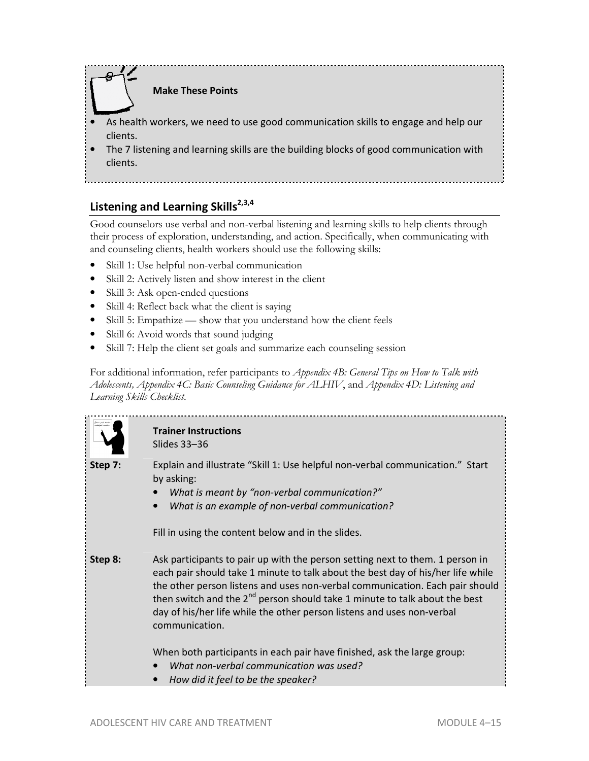

# **Listening and Learning Skills2,3,4**

Good counselors use verbal and non-verbal listening and learning skills to help clients through their process of exploration, understanding, and action. Specifically, when communicating with and counseling clients, health workers should use the following skills:

- Skill 1: Use helpful non-verbal communication
- Skill 2: Actively listen and show interest in the client
- Skill 3: Ask open-ended questions
- Skill 4: Reflect back what the client is saying
- Skill 5: Empathize show that you understand how the client feels
- Skill 6: Avoid words that sound judging
- Skill 7: Help the client set goals and summarize each counseling session

For additional information, refer participants to *Appendix 4B: General Tips on How to Talk with Adolescents, Appendix 4C: Basic Counseling Guidance for ALHIV*, and *Appendix 4D: Listening and Learning Skills Checklist*.

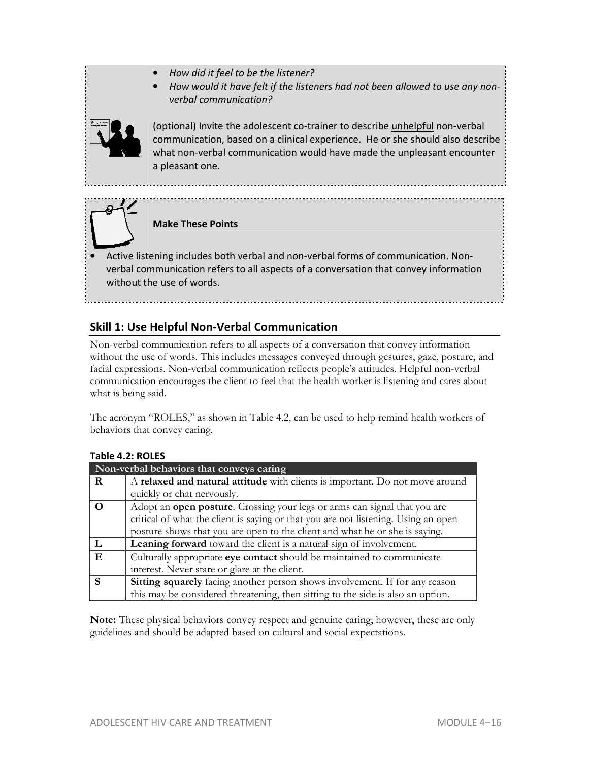- *How did it feel to be the listener?*
- *How would it have felt if the listeners had not been allowed to use any nonverbal communication?*



(optional) Invite the adolescent co-trainer to describe unhelpful non-verbal communication, based on a clinical experience. He or she should also describe what non-verbal communication would have made the unpleasant encounter a pleasant one.



## **Make These Points**

• Active listening includes both verbal and non-verbal forms of communication. Nonverbal communication refers to all aspects of a conversation that convey information without the use of words.

# **Skill 1: Use Helpful Non-Verbal Communication**

Non-verbal communication refers to all aspects of a conversation that convey information without the use of words. This includes messages conveyed through gestures, gaze, posture, and facial expressions. Non-verbal communication reflects people's attitudes. Helpful non-verbal communication encourages the client to feel that the health worker is listening and cares about what is being said.

The acronym "ROLES," as shown in Table 4.2, can be used to help remind health workers of behaviors that convey caring.

| Non-verbal behaviors that conveys caring |                                                                                    |  |
|------------------------------------------|------------------------------------------------------------------------------------|--|
| R                                        | A relaxed and natural attitude with clients is important. Do not move around       |  |
|                                          | quickly or chat nervously.                                                         |  |
|                                          | Adopt an <b>open posture</b> . Crossing your legs or arms can signal that you are  |  |
|                                          | critical of what the client is saying or that you are not listening. Using an open |  |
|                                          | posture shows that you are open to the client and what he or she is saying.        |  |
|                                          | Leaning forward toward the client is a natural sign of involvement.                |  |
| E                                        | Culturally appropriate eye contact should be maintained to communicate             |  |
|                                          | interest. Never stare or glare at the client.                                      |  |
| S                                        | Sitting squarely facing another person shows involvement. If for any reason        |  |
|                                          | this may be considered threatening, then sitting to the side is also an option.    |  |

#### **Table 4.2: ROLES**

**Note:** These physical behaviors convey respect and genuine caring; however, these are only guidelines and should be adapted based on cultural and social expectations.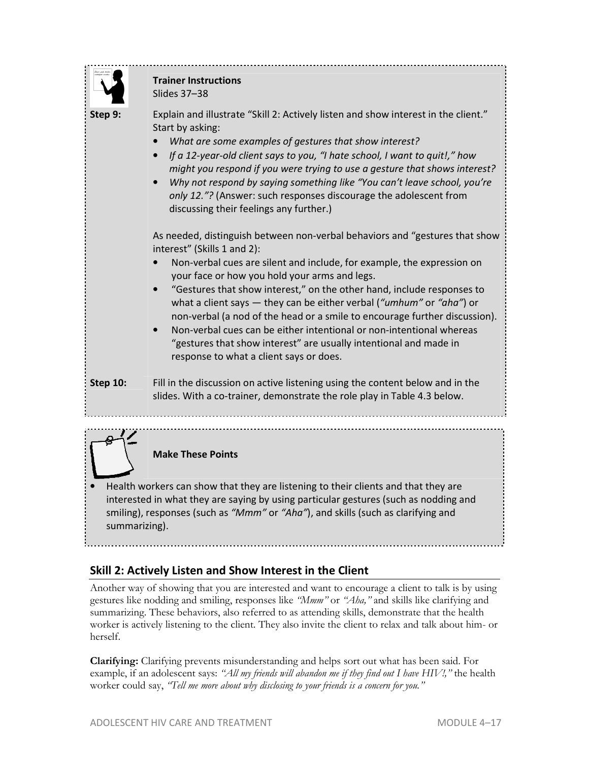

# **Skill 2: Actively Listen and Show Interest in the Client**

Another way of showing that you are interested and want to encourage a client to talk is by using gestures like nodding and smiling, responses like *"Mmm"* or *"Aha,"* and skills like clarifying and summarizing. These behaviors, also referred to as attending skills, demonstrate that the health worker is actively listening to the client. They also invite the client to relax and talk about him- or herself.

**Clarifying:** Clarifying prevents misunderstanding and helps sort out what has been said. For example, if an adolescent says: *"All my friends will abandon me if they find out I have HIV!,"* the health worker could say, *"Tell me more about why disclosing to your friends is a concern for you."*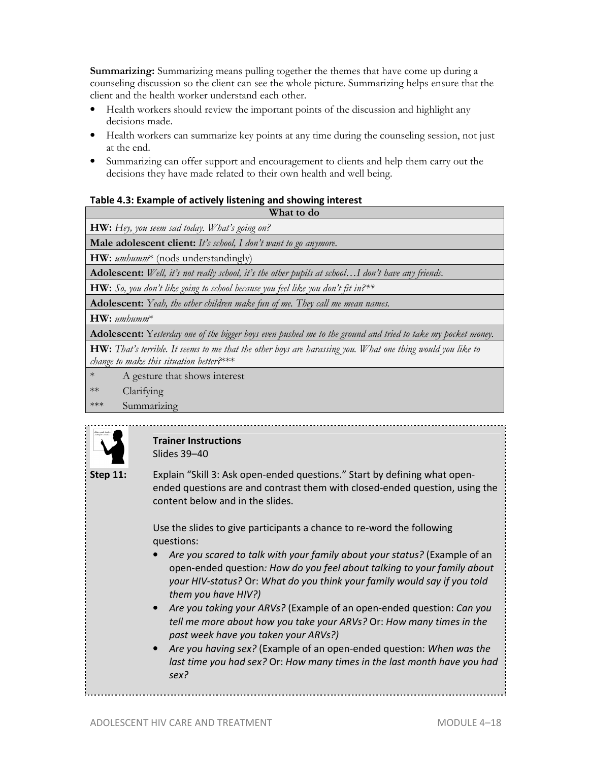**Summarizing:** Summarizing means pulling together the themes that have come up during a counseling discussion so the client can see the whole picture. Summarizing helps ensure that the client and the health worker understand each other.

- Health workers should review the important points of the discussion and highlight any decisions made.
- Health workers can summarize key points at any time during the counseling session, not just at the end.
- Summarizing can offer support and encouragement to clients and help them carry out the decisions they have made related to their own health and well being.

#### **Table 4.3: Example of actively listening and showing interest**

**What to do**

**HW:** *Hey, you seem sad today. What's going on?* 

**Male adolescent client:** *It's school, I don't want to go anymore.*

**HW:** *umhumm*\* (nods understandingly)

**Adolescent:** *Well, it's not really school, it's the other pupils at school…I don't have any friends.*

**HW:** *So, you don't like going to school because you feel like you don't fit in?\*\**

**Adolescent:** *Yeah, the other children make fun of me. They call me mean names.* 

**HW:** *umhumm*\*

**Adolescent:** Y*esterday one of the bigger boys even pushed me to the ground and tried to take my pocket money.* 

**HW:** *That's terrible. It seems to me that the other boys are harassing you. What one thing would you like to change to make this situation better?*\*\*\*

- A gesture that shows interest
- \*\* Clarifying
- \*\*\* Summarizing



#### **Trainer Instructions**  Slides 39–40

**Step 11:** Explain "Skill 3: Ask open-ended questions." Start by defining what openended questions are and contrast them with closed-ended question, using the content below and in the slides.

> Use the slides to give participants a chance to re-word the following questions:

- Are you scared to talk with your family about your status? (Example of an open-ended question*: How do you feel about talking to your family about your HIV-status?* Or: *What do you think your family would say if you told them you have HIV?)*
- *Are you taking your ARVs?* (Example of an open-ended question: *Can you tell me more about how you take your ARVs?* Or: *How many times in the past week have you taken your ARVs?)*
- *Are you having sex?* (Example of an open-ended question: *When was the last time you had sex?* Or: *How many times in the last month have you had sex?*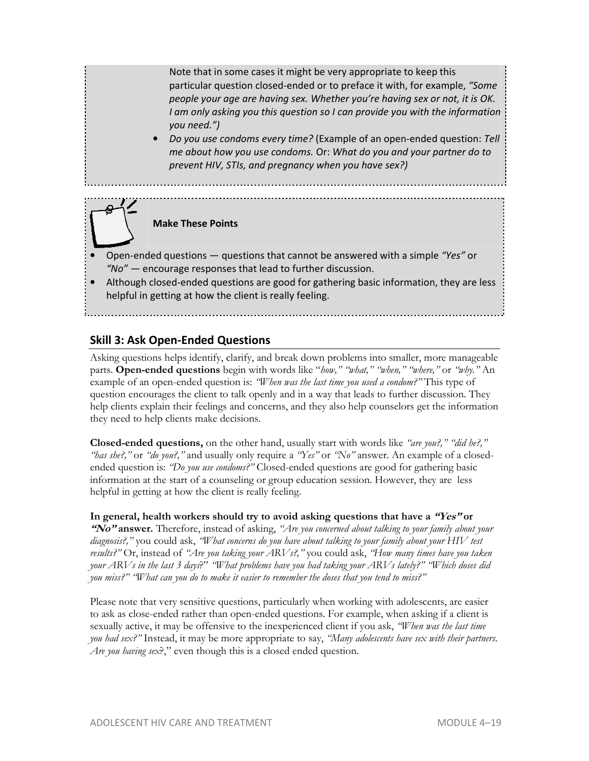Note that in some cases it might be very appropriate to keep this particular question closed-ended or to preface it with, for example, *"Some people your age are having sex. Whether you're having sex or not, it is OK. I am only asking you this question so I can provide you with the information you need.")* 

• *Do you use condoms every time?* (Example of an open-ended question: *Tell me about how you use condoms.* Or: *What do you and your partner do to prevent HIV, STIs, and pregnancy when you have sex?)* 

**Make These Points**

- Open-ended questions questions that cannot be answered with a simple *"Yes"* or *"No"* — encourage responses that lead to further discussion.
- Although closed-ended questions are good for gathering basic information, they are less helpful in getting at how the client is really feeling.

# **Skill 3: Ask Open-Ended Questions**

Asking questions helps identify, clarify, and break down problems into smaller, more manageable parts. **Open-ended questions** begin with words like "*how," "what," "when," "where,"* or *"why."* An example of an open-ended question is: *"When was the last time you used a condom?"* This type of question encourages the client to talk openly and in a way that leads to further discussion. They help clients explain their feelings and concerns, and they also help counselors get the information they need to help clients make decisions.

**Closed-ended questions,** on the other hand, usually start with words like *"are you?," "did he?," "has she?,"* or *"do you?,"* and usually only require a *"Yes"* or *"No"* answer. An example of a closedended question is: *"Do you use condoms?"* Closed-ended questions are good for gathering basic information at the start of a counseling or group education session. However, they are less helpful in getting at how the client is really feeling.

## **In general, health workers should try to avoid asking questions that have a "Yes" or**

**"No" answer.** Therefore, instead of asking, *"Are you concerned about talking to your family about your diagnosis?,"* you could ask, *"What concerns do you have about talking to your family about your HIV test results?"* Or, instead of *"Are you taking your ARVs?,"* you could ask, *"How many times have you taken your ARVs in the last 3 days*?" *"What problems have you had taking your ARVs lately?" "Which doses did you miss?" "What can you do to make it easier to remember the doses that you tend to miss?"* 

Please note that very sensitive questions, particularly when working with adolescents, are easier to ask as close-ended rather than open-ended questions. For example, when asking if a client is sexually active, it may be offensive to the inexperienced client if you ask, *"When was the last time you had sex?"* Instead, it may be more appropriate to say, *"Many adolescents have sex with their partners. Are you having sex*?," even though this is a closed ended question.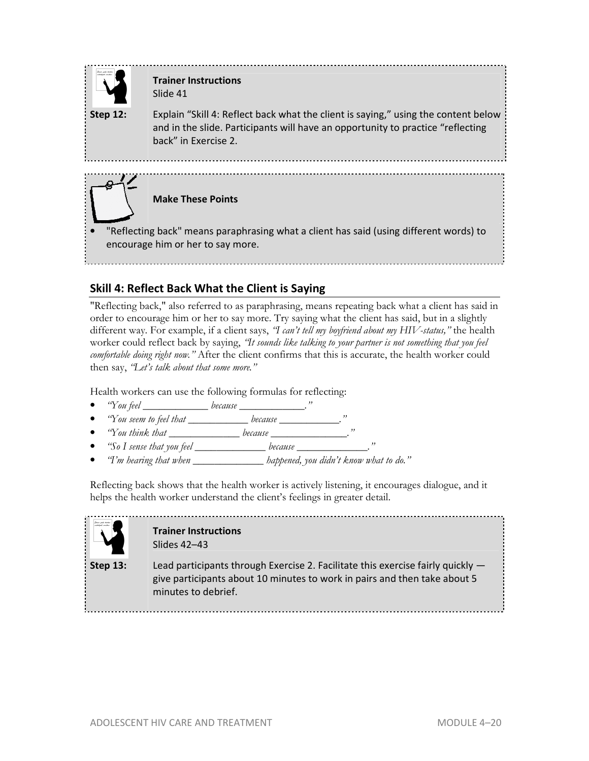

# **Trainer Instructions**  Slide 41

**Step 12:** Explain "Skill 4: Reflect back what the client is saying," using the content below and in the slide. Participants will have an opportunity to practice "reflecting back" in Exercise 2.



**Make These Points**

• "Reflecting back" means paraphrasing what a client has said (using different words) to encourage him or her to say more.

# **Skill 4: Reflect Back What the Client is Saying**

"Reflecting back," also referred to as paraphrasing, means repeating back what a client has said in order to encourage him or her to say more. Try saying what the client has said, but in a slightly different way. For example, if a client says, *"I can't tell my boyfriend about my HIV-status,"* the health worker could reflect back by saying, *"It sounds like talking to your partner is not something that you feel comfortable doing right now."* After the client confirms that this is accurate, the health worker could then say, *"Let's talk about that some more."* 

Health workers can use the following formulas for reflecting:

- *"You feel \_\_\_\_\_\_\_\_\_\_\_\_ because \_\_\_\_\_\_\_\_\_\_\_\_."*
- *"You seem to feel that \_\_\_\_\_\_\_\_\_\_\_ because \_\_\_\_\_\_\_\_\_\_\_."*
- *"You think that \_\_\_\_\_\_\_\_\_\_\_\_\_ because \_\_\_\_\_\_\_\_\_\_\_\_\_\_."*
- *"So I sense that you feel \_\_\_\_\_\_\_\_\_\_\_\_\_ because \_\_\_\_\_\_\_\_\_\_\_\_\_."*
- *"I'm hearing that when \_\_\_\_\_\_\_\_\_\_\_\_\_ happened, you didn't know what to do."*

Reflecting back shows that the health worker is actively listening, it encourages dialogue, and it helps the health worker understand the client's feelings in greater detail.



#### **Trainer Instructions**  Slides 42–43

**Step 13:** Lead participants through Exercise 2. Facilitate this exercise fairly quickly give participants about 10 minutes to work in pairs and then take about 5 minutes to debrief.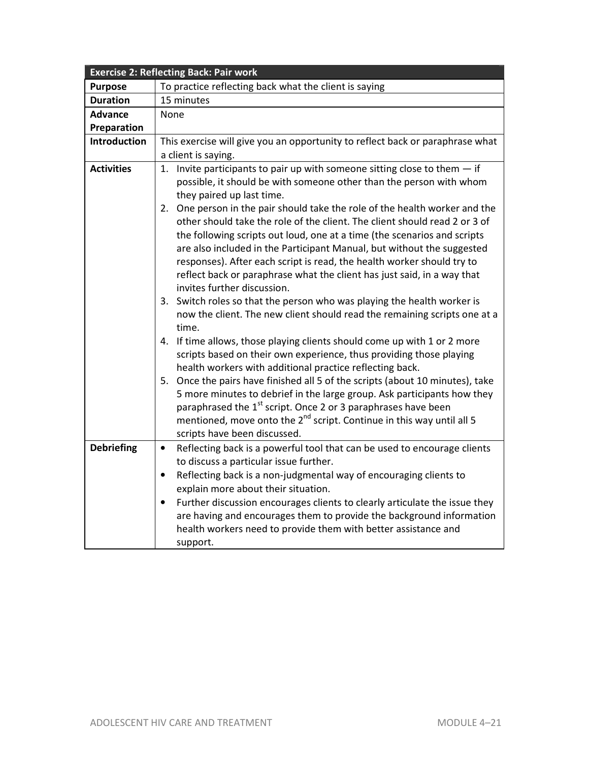|                     | <b>Exercise 2: Reflecting Back: Pair work</b>                                           |  |  |
|---------------------|-----------------------------------------------------------------------------------------|--|--|
| <b>Purpose</b>      | To practice reflecting back what the client is saying                                   |  |  |
| <b>Duration</b>     | 15 minutes                                                                              |  |  |
| <b>Advance</b>      | None                                                                                    |  |  |
| Preparation         |                                                                                         |  |  |
| <b>Introduction</b> | This exercise will give you an opportunity to reflect back or paraphrase what           |  |  |
|                     | a client is saying.                                                                     |  |  |
| <b>Activities</b>   | 1. Invite participants to pair up with someone sitting close to them $-$ if             |  |  |
|                     | possible, it should be with someone other than the person with whom                     |  |  |
|                     | they paired up last time.                                                               |  |  |
|                     | 2. One person in the pair should take the role of the health worker and the             |  |  |
|                     | other should take the role of the client. The client should read 2 or 3 of              |  |  |
|                     | the following scripts out loud, one at a time (the scenarios and scripts                |  |  |
|                     | are also included in the Participant Manual, but without the suggested                  |  |  |
|                     | responses). After each script is read, the health worker should try to                  |  |  |
|                     | reflect back or paraphrase what the client has just said, in a way that                 |  |  |
|                     | invites further discussion.                                                             |  |  |
|                     | 3. Switch roles so that the person who was playing the health worker is                 |  |  |
|                     | now the client. The new client should read the remaining scripts one at a<br>time.      |  |  |
|                     | 4. If time allows, those playing clients should come up with 1 or 2 more                |  |  |
|                     | scripts based on their own experience, thus providing those playing                     |  |  |
|                     | health workers with additional practice reflecting back.                                |  |  |
|                     | 5. Once the pairs have finished all 5 of the scripts (about 10 minutes), take           |  |  |
|                     | 5 more minutes to debrief in the large group. Ask participants how they                 |  |  |
|                     | paraphrased the 1 <sup>st</sup> script. Once 2 or 3 paraphrases have been               |  |  |
|                     | mentioned, move onto the 2 <sup>nd</sup> script. Continue in this way until all 5       |  |  |
|                     | scripts have been discussed.                                                            |  |  |
| <b>Debriefing</b>   | Reflecting back is a powerful tool that can be used to encourage clients<br>$\bullet$   |  |  |
|                     | to discuss a particular issue further.                                                  |  |  |
|                     | Reflecting back is a non-judgmental way of encouraging clients to<br>$\bullet$          |  |  |
|                     | explain more about their situation.                                                     |  |  |
|                     | Further discussion encourages clients to clearly articulate the issue they<br>$\bullet$ |  |  |
|                     | are having and encourages them to provide the background information                    |  |  |
|                     | health workers need to provide them with better assistance and                          |  |  |
|                     | support.                                                                                |  |  |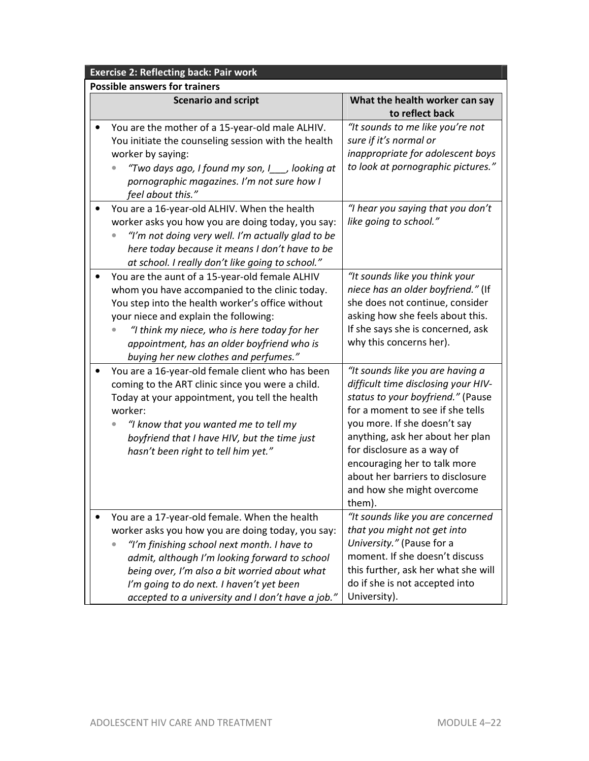| <b>Exercise 2: Reflecting back: Pair work</b>                                                                                                                                                                                                                                                                                                        |                                                                                                                                                                                                                                                                                                                                                                |
|------------------------------------------------------------------------------------------------------------------------------------------------------------------------------------------------------------------------------------------------------------------------------------------------------------------------------------------------------|----------------------------------------------------------------------------------------------------------------------------------------------------------------------------------------------------------------------------------------------------------------------------------------------------------------------------------------------------------------|
| <b>Possible answers for trainers</b>                                                                                                                                                                                                                                                                                                                 |                                                                                                                                                                                                                                                                                                                                                                |
| <b>Scenario and script</b>                                                                                                                                                                                                                                                                                                                           | What the health worker can say<br>to reflect back                                                                                                                                                                                                                                                                                                              |
| You are the mother of a 15-year-old male ALHIV.<br>You initiate the counseling session with the health<br>worker by saying:<br>"Two days ago, I found my son, I__, looking at<br>pornographic magazines. I'm not sure how I<br>feel about this."                                                                                                     | "It sounds to me like you're not<br>sure if it's normal or<br>inappropriate for adolescent boys<br>to look at pornographic pictures."                                                                                                                                                                                                                          |
| You are a 16-year-old ALHIV. When the health<br>worker asks you how you are doing today, you say:<br>"I'm not doing very well. I'm actually glad to be<br>here today because it means I don't have to be<br>at school. I really don't like going to school."                                                                                         | "I hear you saying that you don't<br>like going to school."                                                                                                                                                                                                                                                                                                    |
| You are the aunt of a 15-year-old female ALHIV<br>whom you have accompanied to the clinic today.<br>You step into the health worker's office without<br>your niece and explain the following:<br>"I think my niece, who is here today for her<br>appointment, has an older boyfriend who is<br>buying her new clothes and perfumes."                 | "It sounds like you think your<br>niece has an older boyfriend." (If<br>she does not continue, consider<br>asking how she feels about this.<br>If she says she is concerned, ask<br>why this concerns her).                                                                                                                                                    |
| You are a 16-year-old female client who has been<br>coming to the ART clinic since you were a child.<br>Today at your appointment, you tell the health<br>worker:<br>"I know that you wanted me to tell my<br>boyfriend that I have HIV, but the time just<br>hasn't been right to tell him yet."                                                    | "It sounds like you are having a<br>difficult time disclosing your HIV-<br>status to your boyfriend." (Pause<br>for a moment to see if she tells<br>you more. If she doesn't say<br>anything, ask her about her plan<br>for disclosure as a way of<br>encouraging her to talk more<br>about her barriers to disclosure<br>and how she might overcome<br>them). |
| You are a 17-year-old female. When the health<br>worker asks you how you are doing today, you say:<br>"I'm finishing school next month. I have to<br>admit, although I'm looking forward to school<br>being over, I'm also a bit worried about what<br>I'm going to do next. I haven't yet been<br>accepted to a university and I don't have a job." | "It sounds like you are concerned<br>that you might not get into<br>University." (Pause for a<br>moment. If she doesn't discuss<br>this further, ask her what she will<br>do if she is not accepted into<br>University).                                                                                                                                       |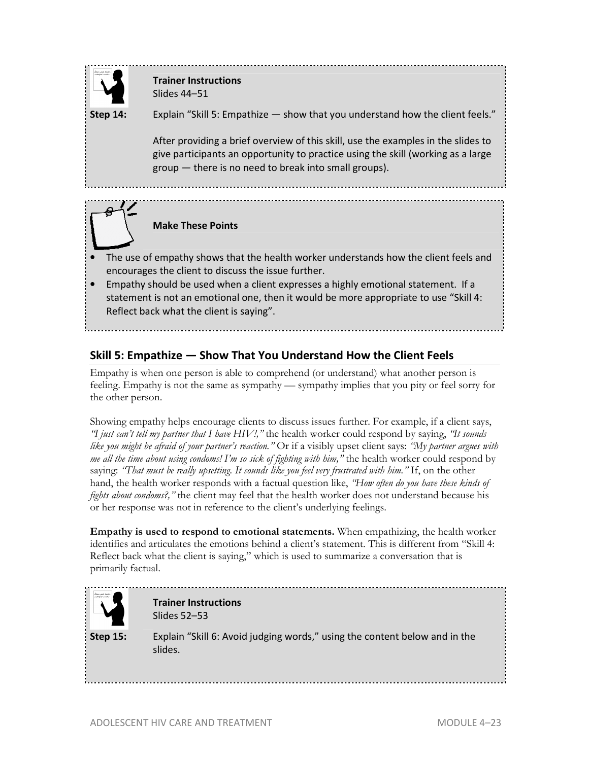

# **Trainer Instructions**  Slides 44–51

**Step 14:** Explain "Skill 5: Empathize — show that you understand how the client feels."

After providing a brief overview of this skill, use the examples in the slides to give participants an opportunity to practice using the skill (working as a large group — there is no need to break into small groups).



# **Make These Points**

- The use of empathy shows that the health worker understands how the client feels and encourages the client to discuss the issue further.
- Empathy should be used when a client expresses a highly emotional statement. If a statement is not an emotional one, then it would be more appropriate to use "Skill 4: Reflect back what the client is saying".

# **Skill 5: Empathize — Show That You Understand How the Client Feels**

Empathy is when one person is able to comprehend (or understand) what another person is feeling. Empathy is not the same as sympathy — sympathy implies that you pity or feel sorry for the other person.

Showing empathy helps encourage clients to discuss issues further. For example, if a client says, *"I just can't tell my partner that I have HIV!,"* the health worker could respond by saying, *"It sounds like you might be afraid of your partner's reaction."* Or if a visibly upset client says: *"My partner argues with me all the time about using condoms! I'm so sick of fighting with him,"* the health worker could respond by saying: *'That must be really upsetting. It sounds like you feel very frustrated with him.*" If, on the other hand, the health worker responds with a factual question like, *"How often do you have these kinds of fights about condoms?*," the client may feel that the health worker does not understand because his or her response was not in reference to the client's underlying feelings.

**Empathy is used to respond to emotional statements.** When empathizing, the health worker identifies and articulates the emotions behind a client's statement. This is different from "Skill 4: Reflect back what the client is saying," which is used to summarize a conversation that is primarily factual.

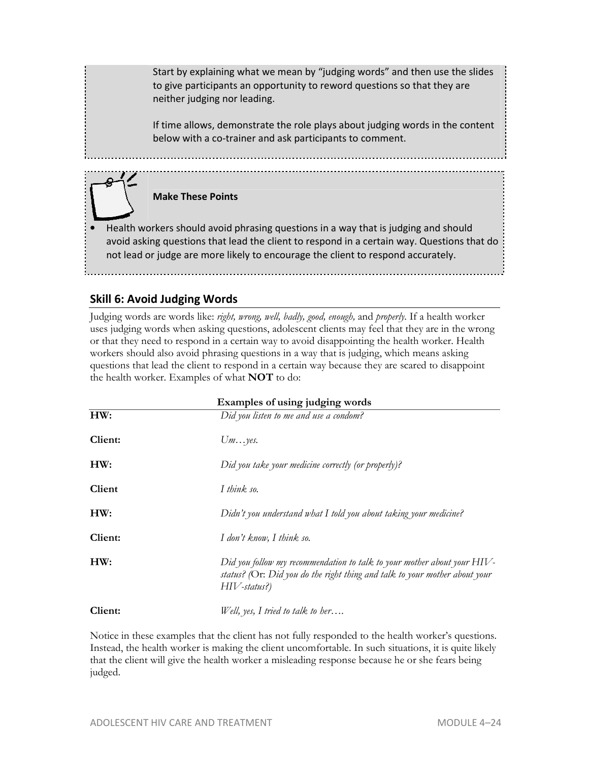Start by explaining what we mean by "judging words" and then use the slides to give participants an opportunity to reword questions so that they are neither judging nor leading.

If time allows, demonstrate the role plays about judging words in the content below with a co-trainer and ask participants to comment.

# **Make These Points**

• Health workers should avoid phrasing questions in a way that is judging and should avoid asking questions that lead the client to respond in a certain way. Questions that do not lead or judge are more likely to encourage the client to respond accurately.

# **Skill 6: Avoid Judging Words**

Judging words are words like: *right, wrong, well, badly, good, enough,* and *properly*. If a health worker uses judging words when asking questions, adolescent clients may feel that they are in the wrong or that they need to respond in a certain way to avoid disappointing the health worker. Health workers should also avoid phrasing questions in a way that is judging, which means asking questions that lead the client to respond in a certain way because they are scared to disappoint the health worker. Examples of what **NOT** to do:

|         | Examples of using judging words                                                                                                                                       |
|---------|-----------------------------------------------------------------------------------------------------------------------------------------------------------------------|
| HW:     | Did you listen to me and use a condom?                                                                                                                                |
| Client: | Um. yes.                                                                                                                                                              |
| HW:     | Did you take your medicine correctly (or properly)?                                                                                                                   |
| Client  | I think so.                                                                                                                                                           |
| HW:     | Didn't you understand what I told you about taking your medicine?                                                                                                     |
| Client: | I don't know, I think so.                                                                                                                                             |
| HW:     | Did you follow my recommendation to talk to your mother about your HIV-<br>status? (Or: Did you do the right thing and talk to your mother about your<br>HIV-status?) |
| Client: | Well, yes, I tried to talk to her                                                                                                                                     |

Notice in these examples that the client has not fully responded to the health worker's questions. Instead, the health worker is making the client uncomfortable. In such situations, it is quite likely that the client will give the health worker a misleading response because he or she fears being judged.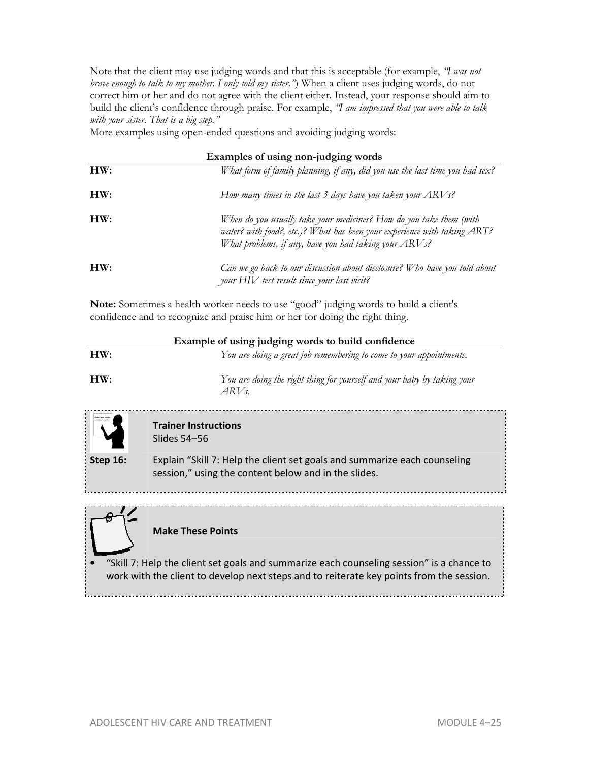Note that the client may use judging words and that this is acceptable (for example, *"I was not brave enough to talk to my mother. I only told my sister."*) When a client uses judging words, do not correct him or her and do not agree with the client either. Instead, your response should aim to build the client's confidence through praise. For example, *"I am impressed that you were able to talk with your sister. That is a big step."*

More examples using open-ended questions and avoiding judging words:

| Examples of using non-judging words |                                                                                                                                                                                                             |
|-------------------------------------|-------------------------------------------------------------------------------------------------------------------------------------------------------------------------------------------------------------|
| HW:                                 | What form of family planning, if any, did you use the last time you had sex?                                                                                                                                |
| HW:                                 | How many times in the last 3 days have you taken your $ARVs$ ?                                                                                                                                              |
| HW:                                 | When do you usually take your medicines? How do you take them (with<br>water? with food?, etc.)? What has been your experience with taking ART?<br>What problems, if any, have you had taking your $ARVs$ ? |
| HW:                                 | Can we go back to our discussion about disclosure? Who have you told about<br>your HIV test result since your last visit?                                                                                   |

**Note:** Sometimes a health worker needs to use "good" judging words to build a client's confidence and to recognize and praise him or her for doing the right thing.

| Example of using judging words to build confidence |                                                                                 |
|----------------------------------------------------|---------------------------------------------------------------------------------|
| HW:                                                | You are doing a great job remembering to come to your appointments.             |
| HW:                                                | You are doing the right thing for yourself and your baby by taking your<br>ARVs |
| (kiam polo konkor<br>nabokpak nendar               | <b>Trainer Instructions</b><br>Slides 54–56                                     |
| Step $16$ :                                        | Explain "Skill 7: Help the client set goals and summarize each counseling       |

session," using the content below and in the slides.

...................................



**Make These Points**

• "Skill 7: Help the client set goals and summarize each counseling session" is a chance to work with the client to develop next steps and to reiterate key points from the session.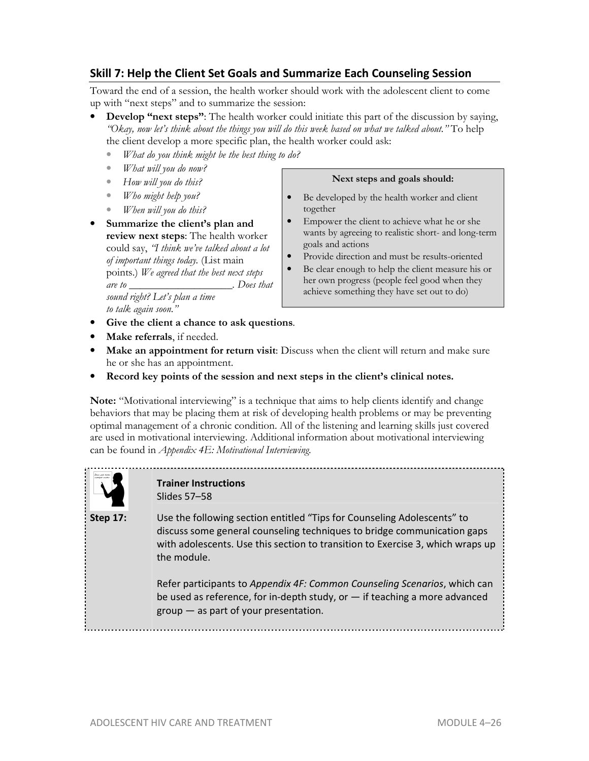# **Skill 7: Help the Client Set Goals and Summarize Each Counseling Session**

Toward the end of a session, the health worker should work with the adolescent client to come up with "next steps" and to summarize the session:

- **Develop "next steps"**: The health worker could initiate this part of the discussion by saying, *"Okay, now let's think about the things you will do this week based on what we talked about."* To help the client develop a more specific plan, the health worker could ask:
	- *What do you think might be the best thing to do?*
	- *What will you do now?*
	- *How will you do this?*
	- *Who might help you?*
	- *When will you do this?*
- **Summarize the client's plan and review next steps**: The health worker could say, *"I think we've talked about a lot of important things today.* (List main points.) *We agreed that the best next steps are to \_\_\_\_\_\_\_\_\_\_\_\_\_\_\_\_\_\_\_. Does that*

*sound right? Let's plan a time to talk again soon."* 

- **Give the client a chance to ask questions**.
- **Make referrals**, if needed.
- Make an appointment for return visit: Discuss when the client will return and make sure he or she has an appointment.
- **Record key points of the session and next steps in the client's clinical notes.**

**Note:** "Motivational interviewing" is a technique that aims to help clients identify and change behaviors that may be placing them at risk of developing health problems or may be preventing optimal management of a chronic condition. All of the listening and learning skills just covered are used in motivational interviewing. Additional information about motivational interviewing can be found in *Appendix 4E: Motivational Interviewing.*



# **Trainer Instructions**  Slides 57–58

**Step 17:** Use the following section entitled "Tips for Counseling Adolescents" to discuss some general counseling techniques to bridge communication gaps with adolescents. Use this section to transition to Exercise 3, which wraps up the module.

> Refer participants to *Appendix 4F: Common Counseling Scenarios*, which can be used as reference, for in-depth study, or — if teaching a more advanced group — as part of your presentation.

#### **Next steps and goals should:**

- Be developed by the health worker and client together
- Empower the client to achieve what he or she wants by agreeing to realistic short- and long-term goals and actions
- Provide direction and must be results-oriented
- Be clear enough to help the client measure his or her own progress (people feel good when they achieve something they have set out to do)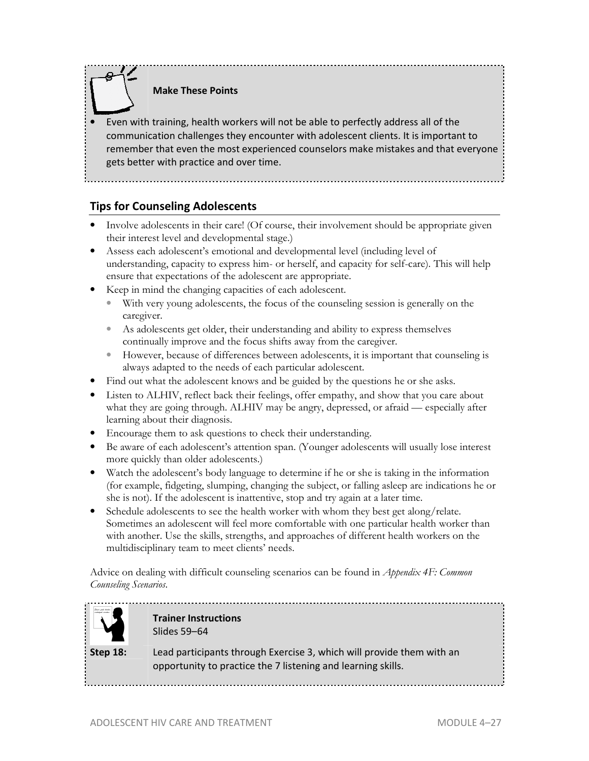# **Make These Points**

• Even with training, health workers will not be able to perfectly address all of the communication challenges they encounter with adolescent clients. It is important to remember that even the most experienced counselors make mistakes and that everyone gets better with practice and over time.

# **Tips for Counseling Adolescents**

- Involve adolescents in their care! (Of course, their involvement should be appropriate given their interest level and developmental stage.)
- Assess each adolescent's emotional and developmental level (including level of understanding, capacity to express him- or herself, and capacity for self-care). This will help ensure that expectations of the adolescent are appropriate.
- Keep in mind the changing capacities of each adolescent.
	- With very young adolescents, the focus of the counseling session is generally on the caregiver.
	- As adolescents get older, their understanding and ability to express themselves continually improve and the focus shifts away from the caregiver.
	- However, because of differences between adolescents, it is important that counseling is always adapted to the needs of each particular adolescent.
- Find out what the adolescent knows and be guided by the questions he or she asks.
- Listen to ALHIV, reflect back their feelings, offer empathy, and show that you care about what they are going through. ALHIV may be angry, depressed, or afraid — especially after learning about their diagnosis.
- Encourage them to ask questions to check their understanding.
- Be aware of each adolescent's attention span. (Younger adolescents will usually lose interest more quickly than older adolescents.)
- Watch the adolescent's body language to determine if he or she is taking in the information (for example, fidgeting, slumping, changing the subject, or falling asleep are indications he or she is not). If the adolescent is inattentive, stop and try again at a later time.
- Schedule adolescents to see the health worker with whom they best get along/relate. Sometimes an adolescent will feel more comfortable with one particular health worker than with another. Use the skills, strengths, and approaches of different health workers on the multidisciplinary team to meet clients' needs.

Advice on dealing with difficult counseling scenarios can be found in *Appendix 4F: Common Counseling Scenarios*.



### **Trainer Instructions**  Slides 59–64

**Step 18:** Lead participants through Exercise 3, which will provide them with an opportunity to practice the 7 listening and learning skills.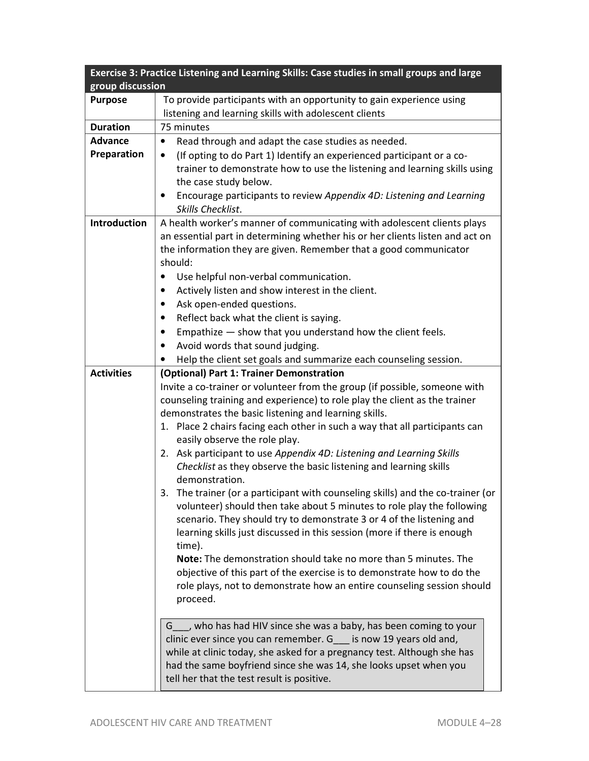|                   | Exercise 3: Practice Listening and Learning Skills: Case studies in small groups and large                                               |
|-------------------|------------------------------------------------------------------------------------------------------------------------------------------|
| group discussion  |                                                                                                                                          |
| <b>Purpose</b>    | To provide participants with an opportunity to gain experience using<br>listening and learning skills with adolescent clients            |
| <b>Duration</b>   | 75 minutes                                                                                                                               |
| <b>Advance</b>    | Read through and adapt the case studies as needed.<br>$\bullet$                                                                          |
| Preparation       | (If opting to do Part 1) Identify an experienced participant or a co-<br>$\bullet$                                                       |
|                   | trainer to demonstrate how to use the listening and learning skills using                                                                |
|                   | the case study below.                                                                                                                    |
|                   | Encourage participants to review Appendix 4D: Listening and Learning<br>$\bullet$                                                        |
|                   | Skills Checklist.                                                                                                                        |
| Introduction      | A health worker's manner of communicating with adolescent clients plays                                                                  |
|                   | an essential part in determining whether his or her clients listen and act on                                                            |
|                   | the information they are given. Remember that a good communicator                                                                        |
|                   | should:                                                                                                                                  |
|                   | Use helpful non-verbal communication.<br>$\bullet$                                                                                       |
|                   | Actively listen and show interest in the client.<br>$\bullet$                                                                            |
|                   | Ask open-ended questions.<br>$\bullet$                                                                                                   |
|                   | Reflect back what the client is saying.<br>$\bullet$                                                                                     |
|                   | Empathize - show that you understand how the client feels.<br>$\bullet$                                                                  |
|                   | Avoid words that sound judging.<br>$\bullet$                                                                                             |
|                   | Help the client set goals and summarize each counseling session.                                                                         |
| <b>Activities</b> | (Optional) Part 1: Trainer Demonstration                                                                                                 |
|                   | Invite a co-trainer or volunteer from the group (if possible, someone with                                                               |
|                   | counseling training and experience) to role play the client as the trainer                                                               |
|                   | demonstrates the basic listening and learning skills.                                                                                    |
|                   | 1. Place 2 chairs facing each other in such a way that all participants can<br>easily observe the role play.                             |
|                   | 2. Ask participant to use Appendix 4D: Listening and Learning Skills                                                                     |
|                   | Checklist as they observe the basic listening and learning skills                                                                        |
|                   | demonstration.                                                                                                                           |
|                   | The trainer (or a participant with counseling skills) and the co-trainer (or<br>3.                                                       |
|                   | volunteer) should then take about 5 minutes to role play the following                                                                   |
|                   | scenario. They should try to demonstrate 3 or 4 of the listening and                                                                     |
|                   | learning skills just discussed in this session (more if there is enough                                                                  |
|                   | time).                                                                                                                                   |
|                   | Note: The demonstration should take no more than 5 minutes. The                                                                          |
|                   | objective of this part of the exercise is to demonstrate how to do the                                                                   |
|                   | role plays, not to demonstrate how an entire counseling session should                                                                   |
|                   | proceed.                                                                                                                                 |
|                   |                                                                                                                                          |
|                   | G___, who has had HIV since she was a baby, has been coming to your<br>clinic ever since you can remember. G___ is now 19 years old and, |
|                   | while at clinic today, she asked for a pregnancy test. Although she has                                                                  |
|                   | had the same boyfriend since she was 14, she looks upset when you                                                                        |
|                   | tell her that the test result is positive.                                                                                               |
|                   |                                                                                                                                          |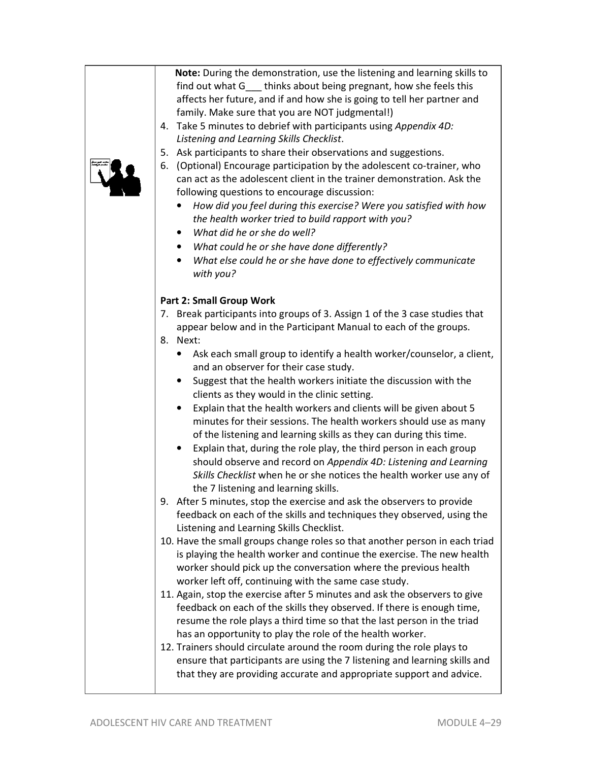| 4. Take 5 minutes to debrief with participants using Appendix 4D:<br>Listening and Learning Skills Checklist.<br>5. Ask participants to share their observations and suggestions.<br>(Optional) Encourage participation by the adolescent co-trainer, who<br>6.<br>can act as the adolescent client in the trainer demonstration. Ask the<br>following questions to encourage discussion:<br>How did you feel during this exercise? Were you satisfied with how<br>$\bullet$<br>the health worker tried to build rapport with you?<br>What did he or she do well?<br>$\bullet$<br>What could he or she have done differently?<br>$\bullet$<br>What else could he or she have done to effectively communicate<br>$\bullet$                                                                                                                                                                                                                                                                                                                                                                                                                                                                                                                                                                                       |
|-----------------------------------------------------------------------------------------------------------------------------------------------------------------------------------------------------------------------------------------------------------------------------------------------------------------------------------------------------------------------------------------------------------------------------------------------------------------------------------------------------------------------------------------------------------------------------------------------------------------------------------------------------------------------------------------------------------------------------------------------------------------------------------------------------------------------------------------------------------------------------------------------------------------------------------------------------------------------------------------------------------------------------------------------------------------------------------------------------------------------------------------------------------------------------------------------------------------------------------------------------------------------------------------------------------------|
| with you?<br><b>Part 2: Small Group Work</b><br>7. Break participants into groups of 3. Assign 1 of the 3 case studies that<br>appear below and in the Participant Manual to each of the groups.<br>8. Next:<br>Ask each small group to identify a health worker/counselor, a client,<br>and an observer for their case study.<br>Suggest that the health workers initiate the discussion with the<br>$\bullet$<br>clients as they would in the clinic setting.<br>Explain that the health workers and clients will be given about 5<br>$\bullet$<br>minutes for their sessions. The health workers should use as many<br>of the listening and learning skills as they can during this time.<br>Explain that, during the role play, the third person in each group<br>should observe and record on Appendix 4D: Listening and Learning<br>Skills Checklist when he or she notices the health worker use any of<br>the 7 listening and learning skills.<br>9. After 5 minutes, stop the exercise and ask the observers to provide<br>feedback on each of the skills and techniques they observed, using the<br>Listening and Learning Skills Checklist.<br>10. Have the small groups change roles so that another person in each triad<br>is playing the health worker and continue the exercise. The new health |
| worker should pick up the conversation where the previous health<br>worker left off, continuing with the same case study.<br>11. Again, stop the exercise after 5 minutes and ask the observers to give<br>feedback on each of the skills they observed. If there is enough time,<br>resume the role plays a third time so that the last person in the triad<br>has an opportunity to play the role of the health worker.<br>12. Trainers should circulate around the room during the role plays to<br>ensure that participants are using the 7 listening and learning skills and<br>that they are providing accurate and appropriate support and advice.                                                                                                                                                                                                                                                                                                                                                                                                                                                                                                                                                                                                                                                       |

**Note:** During the demonstration, use the listening and learning skills to find out what G\_\_\_ thinks about being pregnant, how she feels this affects her future, and if and how she is going to tell her partner and

family. Make sure that you are NOT judgmental!)

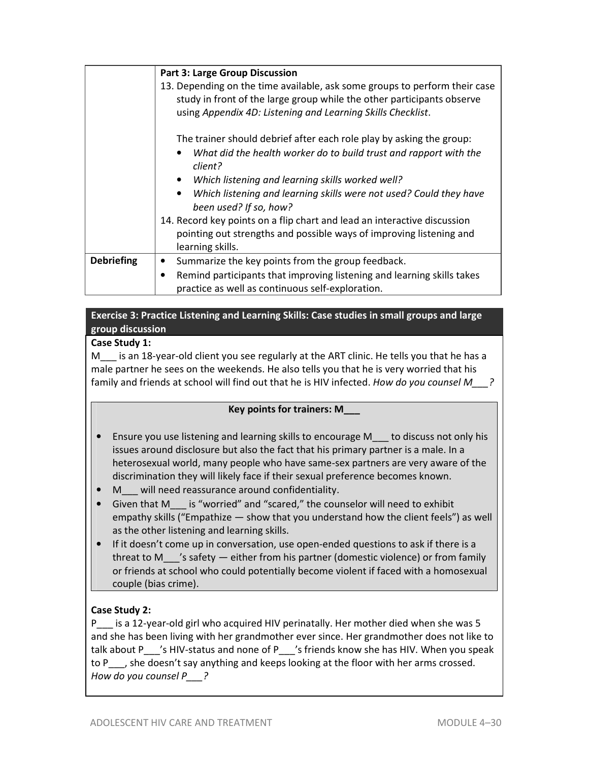|                   | <b>Part 3: Large Group Discussion</b>                                                                                                                                                                               |
|-------------------|---------------------------------------------------------------------------------------------------------------------------------------------------------------------------------------------------------------------|
|                   | 13. Depending on the time available, ask some groups to perform their case<br>study in front of the large group while the other participants observe<br>using Appendix 4D: Listening and Learning Skills Checklist. |
|                   | The trainer should debrief after each role play by asking the group:<br>What did the health worker do to build trust and rapport with the<br>client?                                                                |
|                   | Which listening and learning skills worked well?                                                                                                                                                                    |
|                   | Which listening and learning skills were not used? Could they have<br>been used? If so, how?                                                                                                                        |
|                   | 14. Record key points on a flip chart and lead an interactive discussion<br>pointing out strengths and possible ways of improving listening and<br>learning skills.                                                 |
| <b>Debriefing</b> | Summarize the key points from the group feedback.                                                                                                                                                                   |
|                   | Remind participants that improving listening and learning skills takes<br>practice as well as continuous self-exploration.                                                                                          |

# **Exercise 3: Practice Listening and Learning Skills: Case studies in small groups and large group discussion**

# **Case Study 1:**

M<sub>s</sub> is an 18-year-old client you see regularly at the ART clinic. He tells you that he has a male partner he sees on the weekends. He also tells you that he is very worried that his family and friends at school will find out that he is HIV infected. *How do you counsel M\_\_\_?*

# **Key points for trainers: M\_\_\_**

- Ensure you use listening and learning skills to encourage M\_\_\_ to discuss not only his issues around disclosure but also the fact that his primary partner is a male. In a heterosexual world, many people who have same-sex partners are very aware of the discrimination they will likely face if their sexual preference becomes known.
- M\_\_\_ will need reassurance around confidentiality.
- Given that M is "worried" and "scared," the counselor will need to exhibit empathy skills ("Empathize — show that you understand how the client feels") as well as the other listening and learning skills.
- If it doesn't come up in conversation, use open-ended questions to ask if there is a threat to M\_\_\_'s safety — either from his partner (domestic violence) or from family or friends at school who could potentially become violent if faced with a homosexual couple (bias crime).

# **Case Study 2:**

P\_\_ is a 12-year-old girl who acquired HIV perinatally. Her mother died when she was 5 and she has been living with her grandmother ever since. Her grandmother does not like to talk about P\_\_\_'s HIV-status and none of P\_\_\_'s friends know she has HIV. When you speak to P<sub>\_\_\_</sub>, she doesn't say anything and keeps looking at the floor with her arms crossed. *How do you counsel P\_\_\_?*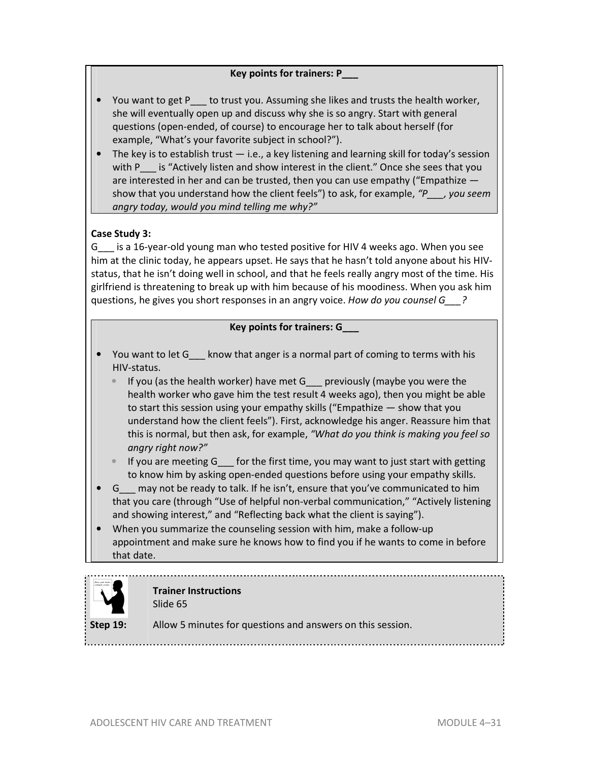# **Key points for trainers: P\_\_\_**

- You want to get P\_\_\_ to trust you. Assuming she likes and trusts the health worker, she will eventually open up and discuss why she is so angry. Start with general questions (open-ended, of course) to encourage her to talk about herself (for example, "What's your favorite subject in school?").
- The key is to establish trust  $-$  i.e., a key listening and learning skill for today's session with P\_\_\_ is "Actively listen and show interest in the client." Once she sees that you are interested in her and can be trusted, then you can use empathy ("Empathize show that you understand how the client feels") to ask, for example, *"P\_\_\_, you seem angry today, would you mind telling me why?"*

## **Case Study 3:**

G\_\_\_ is a 16-year-old young man who tested positive for HIV 4 weeks ago. When you see him at the clinic today, he appears upset. He says that he hasn't told anyone about his HIVstatus, that he isn't doing well in school, and that he feels really angry most of the time. His girlfriend is threatening to break up with him because of his moodiness. When you ask him questions, he gives you short responses in an angry voice. *How do you counsel G\_\_\_?*

#### **Key points for trainers: G\_\_\_**

- You want to let G\_\_\_ know that anger is a normal part of coming to terms with his HIV-status.
	- If you (as the health worker) have met G\_\_\_ previously (maybe you were the health worker who gave him the test result 4 weeks ago), then you might be able to start this session using your empathy skills ("Empathize — show that you understand how the client feels"). First, acknowledge his anger. Reassure him that this is normal, but then ask, for example, *"What do you think is making you feel so angry right now?"*
	- If you are meeting G\_\_\_ for the first time, you may want to just start with getting to know him by asking open-ended questions before using your empathy skills.
- G\_\_\_ may not be ready to talk. If he isn't, ensure that you've communicated to him that you care (through "Use of helpful non-verbal communication," "Actively listening and showing interest," and "Reflecting back what the client is saying").
- When you summarize the counseling session with him, make a follow-up appointment and make sure he knows how to find you if he wants to come in before that date.



#### **Trainer Instructions**  Slide 65

**Step 19:** Allow 5 minutes for questions and answers on this session.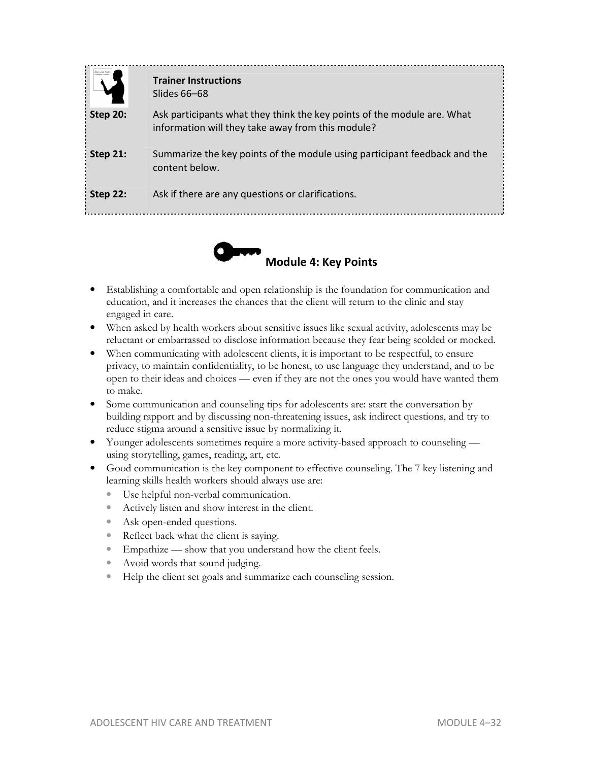|                 | <b>Trainer Instructions</b><br>Slides 66–68                                                                                  |
|-----------------|------------------------------------------------------------------------------------------------------------------------------|
| <b>Step 20:</b> | Ask participants what they think the key points of the module are. What<br>information will they take away from this module? |
| Step 21:        | Summarize the key points of the module using participant feedback and the<br>content below.                                  |
| Step 22:        | Ask if there are any questions or clarifications.                                                                            |



- Establishing a comfortable and open relationship is the foundation for communication and education, and it increases the chances that the client will return to the clinic and stay engaged in care.
- When asked by health workers about sensitive issues like sexual activity, adolescents may be reluctant or embarrassed to disclose information because they fear being scolded or mocked.
- When communicating with adolescent clients, it is important to be respectful, to ensure privacy, to maintain confidentiality, to be honest, to use language they understand, and to be open to their ideas and choices — even if they are not the ones you would have wanted them to make.
- Some communication and counseling tips for adolescents are: start the conversation by building rapport and by discussing non-threatening issues, ask indirect questions, and try to reduce stigma around a sensitive issue by normalizing it.
- Younger adolescents sometimes require a more activity-based approach to counseling using storytelling, games, reading, art, etc.
- Good communication is the key component to effective counseling. The 7 key listening and learning skills health workers should always use are:
	- Use helpful non-verbal communication.
	- Actively listen and show interest in the client.
	- Ask open-ended questions.
	- Reflect back what the client is saying.
	- Empathize show that you understand how the client feels.
	- Avoid words that sound judging.
	- Help the client set goals and summarize each counseling session.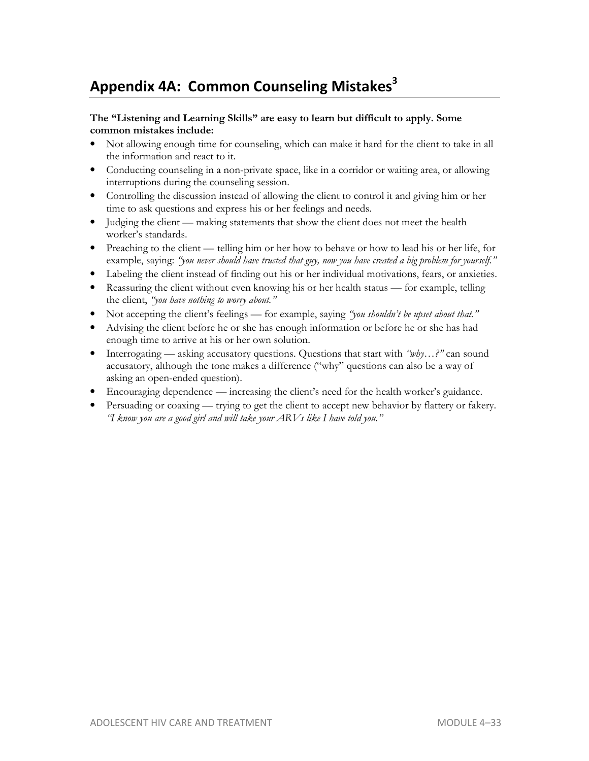# **Appendix 4A: Common Counseling Mistakes<sup>3</sup>**

#### **The "Listening and Learning Skills" are easy to learn but difficult to apply. Some common mistakes include:**

- Not allowing enough time for counseling, which can make it hard for the client to take in all the information and react to it.
- Conducting counseling in a non-private space, like in a corridor or waiting area, or allowing interruptions during the counseling session.
- Controlling the discussion instead of allowing the client to control it and giving him or her time to ask questions and express his or her feelings and needs.
- Judging the client making statements that show the client does not meet the health worker's standards.
- Preaching to the client telling him or her how to behave or how to lead his or her life, for example, saying: *"you never should have trusted that guy, now you have created a big problem for yourself."*
- Labeling the client instead of finding out his or her individual motivations, fears, or anxieties.
- Reassuring the client without even knowing his or her health status for example, telling the client, *"you have nothing to worry about."*
- Not accepting the client's feelings for example, saying *"you shouldn't be upset about that."*
- Advising the client before he or she has enough information or before he or she has had enough time to arrive at his or her own solution.
- Interrogating asking accusatory questions. Questions that start with *"why...?"* can sound accusatory, although the tone makes a difference ("why" questions can also be a way of asking an open-ended question).
- Encouraging dependence increasing the client's need for the health worker's guidance.
- Persuading or coaxing trying to get the client to accept new behavior by flattery or fakery. *"I know you are a good girl and will take your ARVs like I have told you."*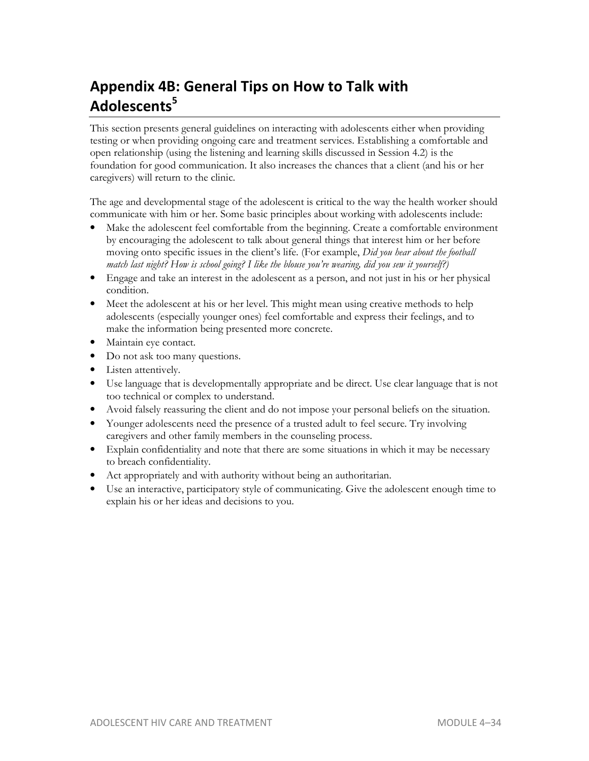# **Appendix 4B: General Tips on How to Talk with Adolescents<sup>5</sup>**

This section presents general guidelines on interacting with adolescents either when providing testing or when providing ongoing care and treatment services. Establishing a comfortable and open relationship (using the listening and learning skills discussed in Session 4.2) is the foundation for good communication. It also increases the chances that a client (and his or her caregivers) will return to the clinic.

The age and developmental stage of the adolescent is critical to the way the health worker should communicate with him or her. Some basic principles about working with adolescents include:

- Make the adolescent feel comfortable from the beginning. Create a comfortable environment by encouraging the adolescent to talk about general things that interest him or her before moving onto specific issues in the client's life. (For example, *Did you hear about the football match last night? How is school going? I like the blouse you're wearing, did you sew it yourself?)*
- Engage and take an interest in the adolescent as a person, and not just in his or her physical condition.
- Meet the adolescent at his or her level. This might mean using creative methods to help adolescents (especially younger ones) feel comfortable and express their feelings, and to make the information being presented more concrete.
- Maintain eye contact.
- Do not ask too many questions.
- Listen attentively.
- Use language that is developmentally appropriate and be direct. Use clear language that is not too technical or complex to understand.
- Avoid falsely reassuring the client and do not impose your personal beliefs on the situation.
- Younger adolescents need the presence of a trusted adult to feel secure. Try involving caregivers and other family members in the counseling process.
- Explain confidentiality and note that there are some situations in which it may be necessary to breach confidentiality.
- Act appropriately and with authority without being an authoritarian.
- Use an interactive, participatory style of communicating. Give the adolescent enough time to explain his or her ideas and decisions to you.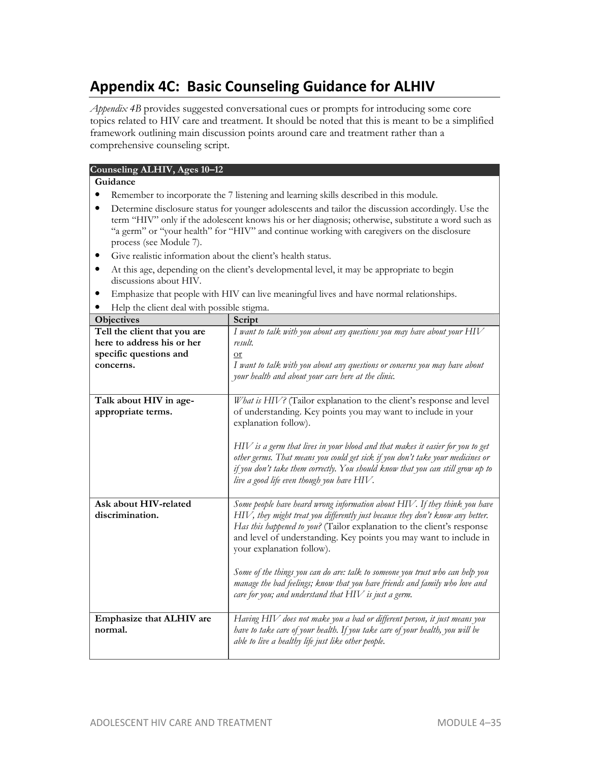# **Appendix 4C: Basic Counseling Guidance for ALHIV**

*Appendix 4B* provides suggested conversational cues or prompts for introducing some core topics related to HIV care and treatment. It should be noted that this is meant to be a simplified framework outlining main discussion points around care and treatment rather than a comprehensive counseling script.

| Counseling ALHIV, Ages 10-12                                                          |                                                                                                                                                              |  |
|---------------------------------------------------------------------------------------|--------------------------------------------------------------------------------------------------------------------------------------------------------------|--|
| Guidance                                                                              |                                                                                                                                                              |  |
| Remember to incorporate the 7 listening and learning skills described in this module. |                                                                                                                                                              |  |
|                                                                                       | Determine disclosure status for younger adolescents and tailor the discussion accordingly. Use the                                                           |  |
|                                                                                       | term "HIV" only if the adolescent knows his or her diagnosis; otherwise, substitute a word such as                                                           |  |
| process (see Module 7).                                                               | "a germ" or "your health" for "HIV" and continue working with caregivers on the disclosure                                                                   |  |
| Give realistic information about the client's health status.<br>$\bullet$             |                                                                                                                                                              |  |
| ٠                                                                                     | At this age, depending on the client's developmental level, it may be appropriate to begin                                                                   |  |
| discussions about HIV.                                                                |                                                                                                                                                              |  |
|                                                                                       | Emphasize that people with HIV can live meaningful lives and have normal relationships.                                                                      |  |
| Help the client deal with possible stigma.                                            |                                                                                                                                                              |  |
| Objectives                                                                            | Script                                                                                                                                                       |  |
| Tell the client that you are                                                          | I want to talk with you about any questions you may have about your $HIV$                                                                                    |  |
| here to address his or her<br>specific questions and                                  | result.<br><b>or</b>                                                                                                                                         |  |
| concerns.                                                                             | I want to talk with you about any questions or concerns you may have about                                                                                   |  |
|                                                                                       | your health and about your care here at the clinic.                                                                                                          |  |
|                                                                                       |                                                                                                                                                              |  |
| Talk about HIV in age-                                                                | What is HIV? (Tailor explanation to the client's response and level                                                                                          |  |
| appropriate terms.                                                                    | of understanding. Key points you may want to include in your                                                                                                 |  |
|                                                                                       | explanation follow).                                                                                                                                         |  |
|                                                                                       | $HIV$ is a germ that lives in your blood and that makes it easier for you to get                                                                             |  |
|                                                                                       | other germs. That means you could get sick if you don't take your medicines or                                                                               |  |
|                                                                                       | if you don't take them correctly. You should know that you can still grow up to                                                                              |  |
|                                                                                       | live a good life even though you have HIV.                                                                                                                   |  |
|                                                                                       |                                                                                                                                                              |  |
| Ask about HIV-related<br>discrimination.                                              | Some people have heard wrong information about HIV. If they think you have<br>HIV, they might treat you differently just because they don't know any better. |  |
|                                                                                       | Has this happened to you? (Tailor explanation to the client's response                                                                                       |  |
|                                                                                       | and level of understanding. Key points you may want to include in                                                                                            |  |
|                                                                                       | your explanation follow).                                                                                                                                    |  |
|                                                                                       |                                                                                                                                                              |  |
|                                                                                       | Some of the things you can do are: talk to someone you trust who can help you<br>manage the bad feelings; know that you have friends and family who love and |  |
|                                                                                       | care for you; and understand that $HIV$ is just a germ.                                                                                                      |  |
|                                                                                       |                                                                                                                                                              |  |
| Emphasize that ALHIV are                                                              | Having HIV does not make you a bad or different person, it just means you                                                                                    |  |
| normal.                                                                               | have to take care of your health. If you take care of your health, you will be                                                                               |  |
|                                                                                       | able to live a healthy life just like other people.                                                                                                          |  |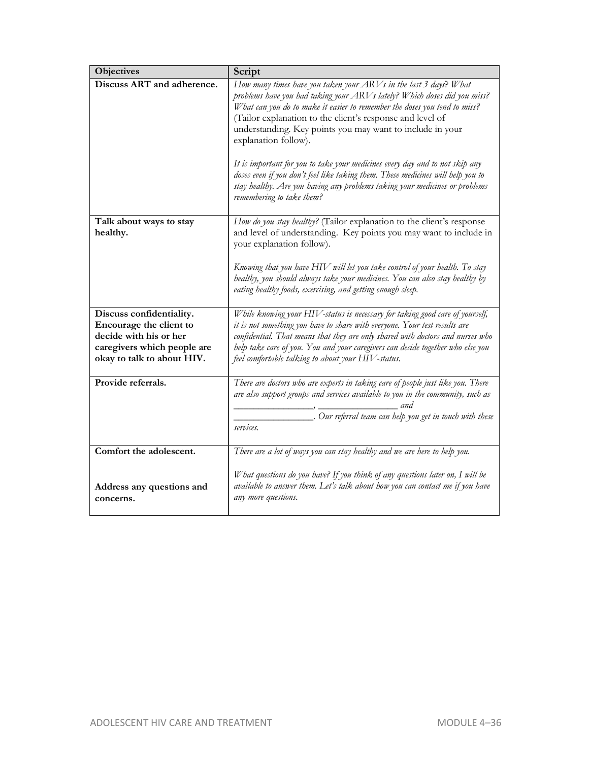| Objectives                                                                                                                                 | Script                                                                                                                                                                                                                                                                                                                                                                                                                                                                                                                                                                                                                                                     |
|--------------------------------------------------------------------------------------------------------------------------------------------|------------------------------------------------------------------------------------------------------------------------------------------------------------------------------------------------------------------------------------------------------------------------------------------------------------------------------------------------------------------------------------------------------------------------------------------------------------------------------------------------------------------------------------------------------------------------------------------------------------------------------------------------------------|
| Discuss ART and adherence.                                                                                                                 | How many times have you taken your ARVs in the last 3 days? What<br>problems have you had taking your ARVs lately? Which doses did you miss?<br>What can you do to make it easier to remember the doses you tend to miss?<br>(Tailor explanation to the client's response and level of<br>understanding. Key points you may want to include in your<br>explanation follow).<br>It is important for you to take your medicines every day and to not skip any<br>doses even if you don't feel like taking them. These medicines will help you to<br>stay healthy. Are you having any problems taking your medicines or problems<br>remembering to take them? |
| Talk about ways to stay<br>healthy.                                                                                                        | How do you stay healthy? (Tailor explanation to the client's response<br>and level of understanding. Key points you may want to include in<br>your explanation follow).                                                                                                                                                                                                                                                                                                                                                                                                                                                                                    |
|                                                                                                                                            | Knowing that you have HIV will let you take control of your health. To stay<br>healthy, you should always take your medicines. You can also stay healthy by<br>eating healthy foods, exercising, and getting enough sleep.                                                                                                                                                                                                                                                                                                                                                                                                                                 |
| Discuss confidentiality.<br>Encourage the client to<br>decide with his or her<br>caregivers which people are<br>okay to talk to about HIV. | While knowing your HIV-status is necessary for taking good care of yourself,<br>it is not something you have to share with everyone. Your test results are<br>confidential. That means that they are only shared with doctors and nurses who<br>help take care of you. You and your caregivers can decide together who else you<br>feel comfortable talking to about your HIV-status.                                                                                                                                                                                                                                                                      |
| Provide referrals.                                                                                                                         | There are doctors who are experts in taking care of people just like you. There<br>are also support groups and services available to you in the community, such as<br>and<br>. Our referral team can help you get in touch with these<br>services.                                                                                                                                                                                                                                                                                                                                                                                                         |
| Comfort the adolescent.                                                                                                                    | There are a lot of ways you can stay healthy and we are here to help you.                                                                                                                                                                                                                                                                                                                                                                                                                                                                                                                                                                                  |
| Address any questions and<br>concerns.                                                                                                     | What questions do you have? If you think of any questions later on, I will be<br>available to answer them. Let's talk about how you can contact me if you have<br>any more questions.                                                                                                                                                                                                                                                                                                                                                                                                                                                                      |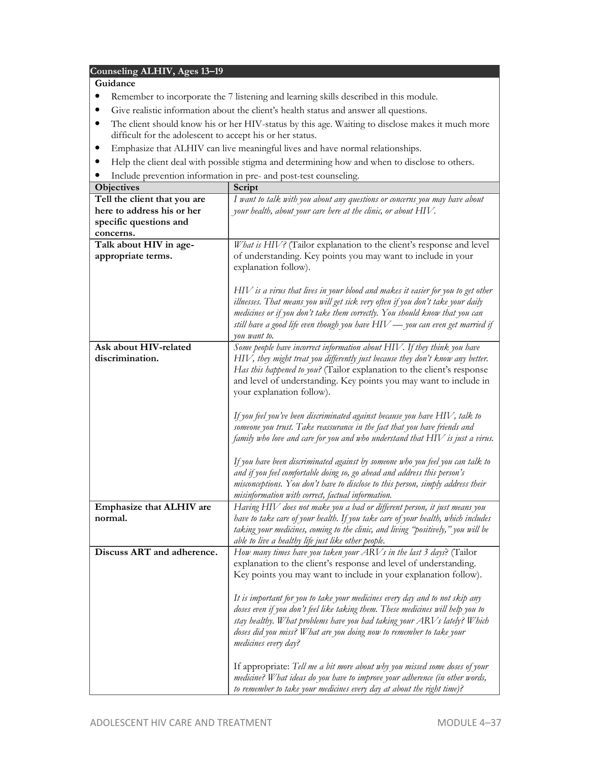#### **Counseling ALHIV, Ages 13–19**

#### **Guidance**

- Remember to incorporate the 7 listening and learning skills described in this module.
- Give realistic information about the client's health status and answer all questions.
- The client should know his or her HIV-status by this age. Waiting to disclose makes it much more difficult for the adolescent to accept his or her status.
- Emphasize that ALHIV can live meaningful lives and have normal relationships.
- Help the client deal with possible stigma and determining how and when to disclose to others.
- Include prevention information in pre- and post-test counseling.

| Objectives                          | Script                                                                                                                                                         |
|-------------------------------------|----------------------------------------------------------------------------------------------------------------------------------------------------------------|
| Tell the client that you are        | I want to talk with you about any questions or concerns you may have about                                                                                     |
| here to address his or her          | your health, about your care here at the clinic, or about HIV.                                                                                                 |
| specific questions and              |                                                                                                                                                                |
| concerns.                           |                                                                                                                                                                |
| Talk about HIV in age-              | What is HIV? (Tailor explanation to the client's response and level                                                                                            |
| appropriate terms.                  | of understanding. Key points you may want to include in your                                                                                                   |
|                                     | explanation follow).                                                                                                                                           |
|                                     |                                                                                                                                                                |
|                                     | $HIV$ is a virus that lives in your blood and makes it easier for you to get other                                                                             |
|                                     | illnesses. That means you will get sick very often if you don't take your daily                                                                                |
|                                     | medicines or if you don't take them correctly. You should know that you can<br>still have a good life even though you have $HIV$ — you can even get married if |
|                                     | you want to.                                                                                                                                                   |
| Ask about HIV-related               | Some people have incorrect information about HIV. If they think you have                                                                                       |
| discrimination.                     | HIV, they might treat you differently just because they don't know any better.                                                                                 |
|                                     | Has this happened to you? (Tailor explanation to the client's response                                                                                         |
|                                     | and level of understanding. Key points you may want to include in                                                                                              |
|                                     | your explanation follow).                                                                                                                                      |
|                                     |                                                                                                                                                                |
|                                     | If you feel you've been discriminated against because you have $HIV$ , talk to                                                                                 |
|                                     | someone you trust. Take reassurance in the fact that you have friends and                                                                                      |
|                                     | family who love and care for you and who understand that $HIV$ is just a virus.                                                                                |
|                                     |                                                                                                                                                                |
|                                     | If you have been discriminated against by someone who you feel you can talk to                                                                                 |
|                                     | and if you feel comfortable doing so, go ahead and address this person's                                                                                       |
|                                     | misconceptions. You don't have to disclose to this person, simply address their                                                                                |
|                                     | misinformation with correct, factual information.<br>Having HIV does not make you a bad or different person, it just means you                                 |
| Emphasize that ALHIV are<br>normal. | have to take care of your health. If you take care of your health, which includes                                                                              |
|                                     | taking your medicines, coming to the clinic, and living "positively," you will be                                                                              |
|                                     | able to live a healthy life just like other people.                                                                                                            |
| Discuss ART and adherence.          | How many times have you taken your ARVs in the last 3 days? (Tailor                                                                                            |
|                                     | explanation to the client's response and level of understanding.                                                                                               |
|                                     | Key points you may want to include in your explanation follow).                                                                                                |
|                                     |                                                                                                                                                                |
|                                     | It is important for you to take your medicines every day and to not skip any                                                                                   |
|                                     | doses even if you don't feel like taking them. These medicines will help you to                                                                                |
|                                     | stay healthy. What problems have you had taking your ARVs lately? Which                                                                                        |
|                                     | doses did you miss? What are you doing now to remember to take your                                                                                            |
|                                     | medicines every day?                                                                                                                                           |
|                                     |                                                                                                                                                                |
|                                     | If appropriate: Tell me a bit more about why you missed some doses of your                                                                                     |
|                                     | medicine? What ideas do you have to improve your adherence (in other words,                                                                                    |
|                                     | to remember to take your medicines every day at about the right time)?                                                                                         |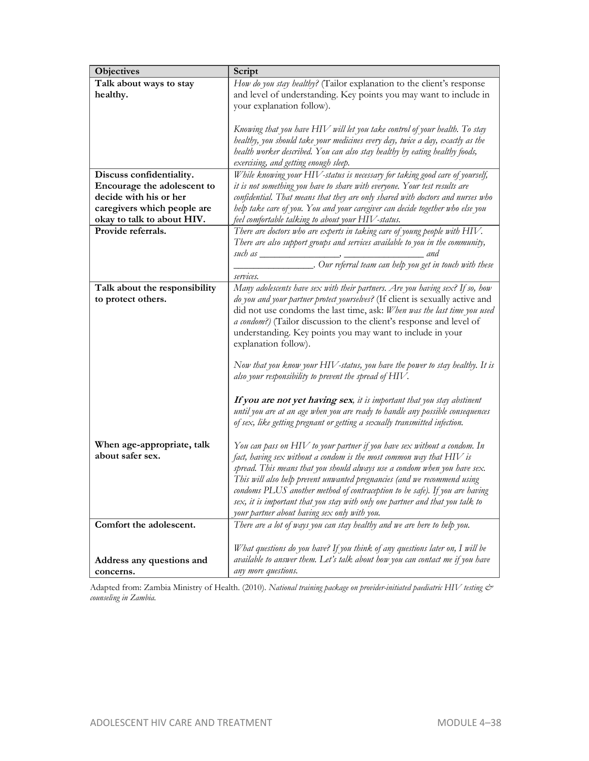| Objectives                    | Script                                                                          |
|-------------------------------|---------------------------------------------------------------------------------|
| Talk about ways to stay       | How do you stay healthy? (Tailor explanation to the client's response           |
| healthy.                      | and level of understanding. Key points you may want to include in               |
|                               | your explanation follow).                                                       |
|                               |                                                                                 |
|                               | Knowing that you have HIV will let you take control of your health. To stay     |
|                               | healthy, you should take your medicines every day, twice a day, exactly as the  |
|                               | health worker described. You can also stay healthy by eating healthy foods,     |
|                               | exercising, and getting enough sleep.                                           |
| Discuss confidentiality.      | While knowing your HIV-status is necessary for taking good care of yourself,    |
| Encourage the adolescent to   | it is not something you have to share with everyone. Your test results are      |
| decide with his or her        | confidential. That means that they are only shared with doctors and nurses who  |
| caregivers which people are   | help take care of you. You and your caregiver can decide together who else you  |
| okay to talk to about HIV.    | feel comfortable talking to about your HIV-status.                              |
| Provide referrals.            | There are doctors who are experts in taking care of young people with HIV.      |
|                               | There are also support groups and services available to you in the community,   |
|                               | and                                                                             |
|                               | _. Our referral team can help you get in touch with these                       |
|                               | services.                                                                       |
| Talk about the responsibility | Many adolescents have sex with their partners. Are you having sex? If so, how   |
| to protect others.            | do you and your partner protect yourselves? (If client is sexually active and   |
|                               | did not use condoms the last time, ask: When was the last time you used         |
|                               | a condom?) (Tailor discussion to the client's response and level of             |
|                               | understanding. Key points you may want to include in your                       |
|                               | explanation follow).                                                            |
|                               | Now that you know your $HIV$ -status, you have the power to stay healthy. It is |
|                               | also your responsibility to prevent the spread of $HIV$ .                       |
|                               |                                                                                 |
|                               | If you are not yet having sex, it is important that you stay abstinent          |
|                               | until you are at an age when you are ready to handle any possible consequences  |
|                               | of sex, like getting pregnant or getting a sexually transmitted infection.      |
|                               |                                                                                 |
| When age-appropriate, talk    | You can pass on $H\!IV$ to your partner if you have sex without a condom. In    |
| about safer sex.              | fact, having sex without a condom is the most common way that $HIV$ is          |
|                               | spread. This means that you should always use a condom when you have sex.       |
|                               | This will also help prevent unwanted pregnancies (and we recommend using        |
|                               | condoms PLUS another method of contraception to be safe). If you are having     |
|                               | sex, it is important that you stay with only one partner and that you talk to   |
|                               | your partner about having sex only with you.                                    |
| Comfort the adolescent.       | There are a lot of ways you can stay healthy and we are here to help you.       |
|                               |                                                                                 |
|                               | What questions do you have? If you think of any questions later on, I will be   |
| Address any questions and     | available to answer them. Let's talk about how you can contact me if you have   |
| concerns.                     | any more questions.                                                             |

Adapted from: Zambia Ministry of Health. (2010). *National training package on provider-initiated paediatric HIV testing & counseling in Zambia.*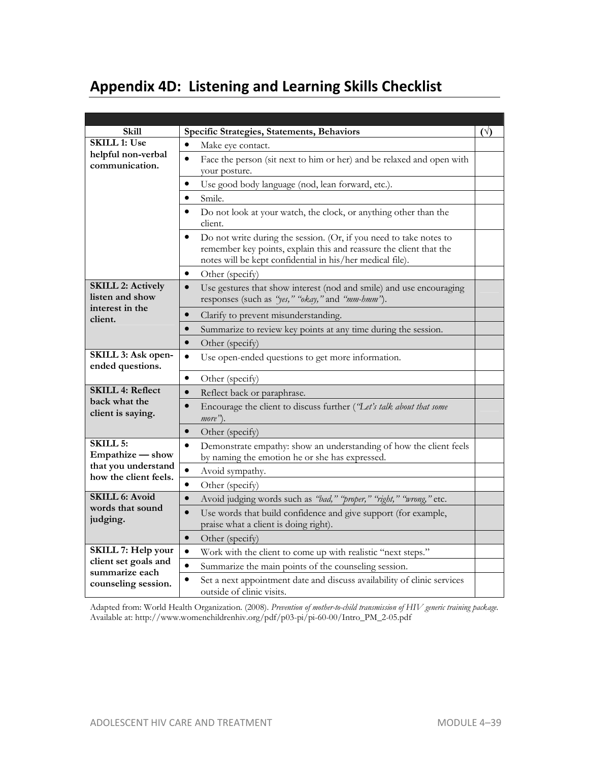# **Appendix 4D: Listening and Learning Skills Checklist**

| Skill                                                          | Specific Strategies, Statements, Behaviors                                                                                                                                                                         | $(\vee)$ |
|----------------------------------------------------------------|--------------------------------------------------------------------------------------------------------------------------------------------------------------------------------------------------------------------|----------|
| <b>SKILL 1: Use</b>                                            | $\bullet$<br>Make eye contact.                                                                                                                                                                                     |          |
| helpful non-verbal<br>communication.                           | $\bullet$<br>Face the person (sit next to him or her) and be relaxed and open with<br>your posture.                                                                                                                |          |
|                                                                | Use good body language (nod, lean forward, etc.).<br>$\bullet$                                                                                                                                                     |          |
|                                                                | Smile.<br>$\bullet$                                                                                                                                                                                                |          |
|                                                                | Do not look at your watch, the clock, or anything other than the<br>client.                                                                                                                                        |          |
|                                                                | Do not write during the session. (Or, if you need to take notes to<br>$\bullet$<br>remember key points, explain this and reassure the client that the<br>notes will be kept confidential in his/her medical file). |          |
|                                                                | Other (specify)<br>٠                                                                                                                                                                                               |          |
| <b>SKILL 2: Actively</b><br>listen and show<br>interest in the | $\bullet$<br>Use gestures that show interest (nod and smile) and use encouraging<br>responses (such as "yes," "okay," and "mm-hmm").                                                                               |          |
| client.                                                        | Clarify to prevent misunderstanding.<br>$\bullet$                                                                                                                                                                  |          |
|                                                                | Summarize to review key points at any time during the session.<br>$\bullet$                                                                                                                                        |          |
|                                                                | $\bullet$<br>Other (specify)                                                                                                                                                                                       |          |
| SKILL 3: Ask open-<br>ended questions.                         | $\bullet$<br>Use open-ended questions to get more information.                                                                                                                                                     |          |
|                                                                | $\bullet$<br>Other (specify)                                                                                                                                                                                       |          |
| <b>SKILL 4: Reflect</b>                                        | $\bullet$<br>Reflect back or paraphrase.                                                                                                                                                                           |          |
| back what the<br>client is saying.                             | Encourage the client to discuss further ('Let's talk about that some<br>$\bullet$<br>more").                                                                                                                       |          |
|                                                                | Other (specify)<br>$\bullet$                                                                                                                                                                                       |          |
| <b>SKILL 5:</b><br>Empathize - show                            | Demonstrate empathy: show an understanding of how the client feels<br>$\bullet$<br>by naming the emotion he or she has expressed.                                                                                  |          |
| that you understand<br>how the client feels.                   | $\bullet$<br>Avoid sympathy.                                                                                                                                                                                       |          |
|                                                                | $\bullet$<br>Other (specify)                                                                                                                                                                                       |          |
| <b>SKILL 6: Avoid</b>                                          | Avoid judging words such as "bad," "proper," "right," "wrong," etc.<br>$\bullet$                                                                                                                                   |          |
| words that sound<br>judging.                                   | Use words that build confidence and give support (for example,<br>$\bullet$<br>praise what a client is doing right).                                                                                               |          |
|                                                                | Other (specify)<br>$\bullet$                                                                                                                                                                                       |          |
| SKILL 7: Help your                                             | Work with the client to come up with realistic "next steps."<br>$\bullet$                                                                                                                                          |          |
| client set goals and                                           | $\bullet$<br>Summarize the main points of the counseling session.                                                                                                                                                  |          |
| summarize each<br>counseling session.                          | Set a next appointment date and discuss availability of clinic services<br>outside of clinic visits.                                                                                                               |          |

Adapted from: World Health Organization. (2008). *Prevention of mother-to-child transmission of HIV generic training package.*  Available at: http://www.womenchildrenhiv.org/pdf/p03-pi/pi-60-00/Intro\_PM\_2-05.pdf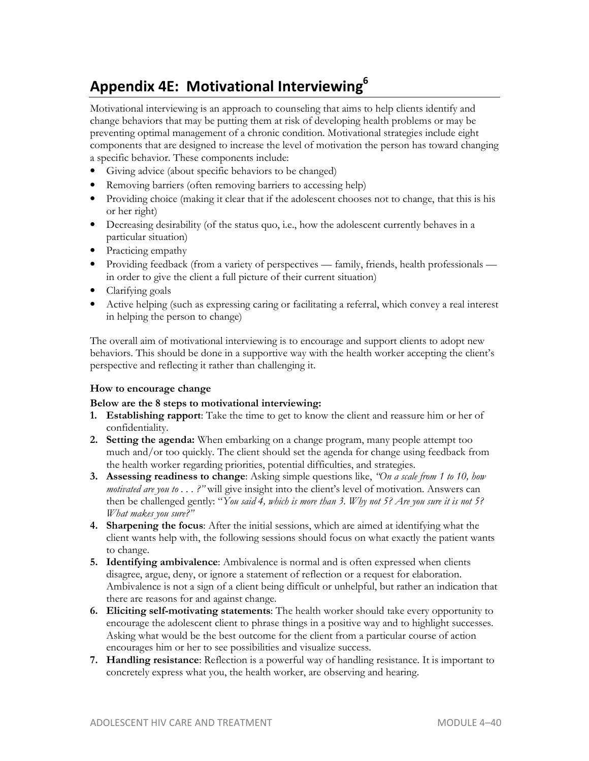# **Appendix 4E: Motivational Interviewing<sup>6</sup>**

Motivational interviewing is an approach to counseling that aims to help clients identify and change behaviors that may be putting them at risk of developing health problems or may be preventing optimal management of a chronic condition. Motivational strategies include eight components that are designed to increase the level of motivation the person has toward changing a specific behavior. These components include:

- Giving advice (about specific behaviors to be changed)
- Removing barriers (often removing barriers to accessing help)
- Providing choice (making it clear that if the adolescent chooses not to change, that this is his or her right)
- Decreasing desirability (of the status quo, i.e., how the adolescent currently behaves in a particular situation)
- Practicing empathy
- Providing feedback (from a variety of perspectives family, friends, health professionals in order to give the client a full picture of their current situation)
- Clarifying goals
- Active helping (such as expressing caring or facilitating a referral, which convey a real interest in helping the person to change)

The overall aim of motivational interviewing is to encourage and support clients to adopt new behaviors. This should be done in a supportive way with the health worker accepting the client's perspective and reflecting it rather than challenging it.

#### **How to encourage change**

#### **Below are the 8 steps to motivational interviewing:**

- **1. Establishing rapport**: Take the time to get to know the client and reassure him or her of confidentiality.
- **2. Setting the agenda:** When embarking on a change program, many people attempt too much and/or too quickly. The client should set the agenda for change using feedback from the health worker regarding priorities, potential difficulties, and strategies.
- **3. Assessing readiness to change**: Asking simple questions like, *"On a scale from 1 to 10, how motivated are you to . . . ?"* will give insight into the client's level of motivation. Answers can then be challenged gently: "*You said 4, which is more than 3. Why not 5? Are you sure it is not 5? What makes you sure?"*
- **4. Sharpening the focus**: After the initial sessions, which are aimed at identifying what the client wants help with, the following sessions should focus on what exactly the patient wants to change.
- **5. Identifying ambivalence**: Ambivalence is normal and is often expressed when clients disagree, argue, deny, or ignore a statement of reflection or a request for elaboration. Ambivalence is not a sign of a client being difficult or unhelpful, but rather an indication that there are reasons for and against change.
- **6. Eliciting self-motivating statements**: The health worker should take every opportunity to encourage the adolescent client to phrase things in a positive way and to highlight successes. Asking what would be the best outcome for the client from a particular course of action encourages him or her to see possibilities and visualize success.
- **7. Handling resistance**: Reflection is a powerful way of handling resistance. It is important to concretely express what you, the health worker, are observing and hearing.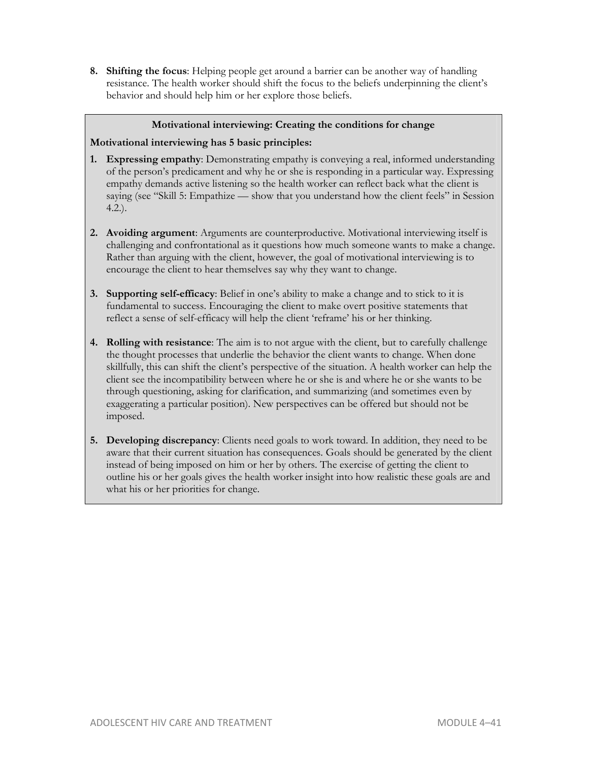**8. Shifting the focus**: Helping people get around a barrier can be another way of handling resistance. The health worker should shift the focus to the beliefs underpinning the client's behavior and should help him or her explore those beliefs.

#### **Motivational interviewing: Creating the conditions for change**

#### **Motivational interviewing has 5 basic principles:**

- **1. Expressing empathy**: Demonstrating empathy is conveying a real, informed understanding of the person's predicament and why he or she is responding in a particular way. Expressing empathy demands active listening so the health worker can reflect back what the client is saying (see "Skill 5: Empathize — show that you understand how the client feels" in Session 4.2.).
- **2. Avoiding argument**: Arguments are counterproductive. Motivational interviewing itself is challenging and confrontational as it questions how much someone wants to make a change. Rather than arguing with the client, however, the goal of motivational interviewing is to encourage the client to hear themselves say why they want to change.
- **3. Supporting self-efficacy**: Belief in one's ability to make a change and to stick to it is fundamental to success. Encouraging the client to make overt positive statements that reflect a sense of self-efficacy will help the client 'reframe' his or her thinking.
- **4. Rolling with resistance**: The aim is to not argue with the client, but to carefully challenge the thought processes that underlie the behavior the client wants to change. When done skillfully, this can shift the client's perspective of the situation. A health worker can help the client see the incompatibility between where he or she is and where he or she wants to be through questioning, asking for clarification, and summarizing (and sometimes even by exaggerating a particular position). New perspectives can be offered but should not be imposed.
- **5. Developing discrepancy**: Clients need goals to work toward. In addition, they need to be aware that their current situation has consequences. Goals should be generated by the client instead of being imposed on him or her by others. The exercise of getting the client to outline his or her goals gives the health worker insight into how realistic these goals are and what his or her priorities for change.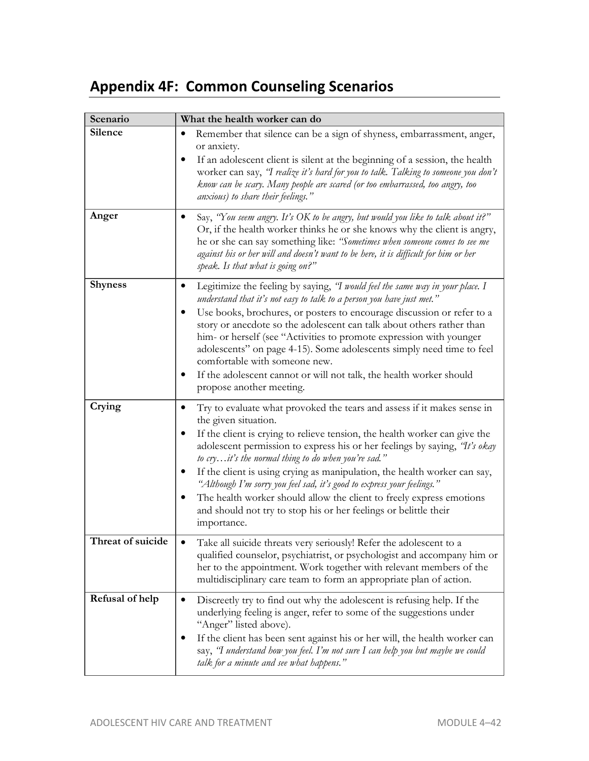# **Appendix 4F: Common Counseling Scenarios**

| Scenario          | What the health worker can do                                                                                                                                                                                                                                                                                                                                                                                                                                                                                                                                                                                                        |
|-------------------|--------------------------------------------------------------------------------------------------------------------------------------------------------------------------------------------------------------------------------------------------------------------------------------------------------------------------------------------------------------------------------------------------------------------------------------------------------------------------------------------------------------------------------------------------------------------------------------------------------------------------------------|
| Silence           | Remember that silence can be a sign of shyness, embarrassment, anger,<br>or anxiety.<br>If an adolescent client is silent at the beginning of a session, the health<br>worker can say, "I realize it's hard for you to talk. Talking to someone you don't<br>know can be scary. Many people are scared (or too embarrassed, too angry, too<br>anxious) to share their feelings."                                                                                                                                                                                                                                                     |
| Anger             | Say, "You seem angry. It's OK to be angry, but would you like to talk about it?"<br>٠<br>Or, if the health worker thinks he or she knows why the client is angry,<br>he or she can say something like: "Sometimes when someone comes to see me<br>against his or her will and doesn't want to be here, it is difficult for him or her<br>speak. Is that what is going on?"                                                                                                                                                                                                                                                           |
| <b>Shyness</b>    | Legitimize the feeling by saying, 'I would feel the same way in your place. I<br>understand that it's not easy to talk to a person you have just met."<br>Use books, brochures, or posters to encourage discussion or refer to a<br>story or anecdote so the adolescent can talk about others rather than<br>him- or herself (see "Activities to promote expression with younger<br>adolescents" on page 4-15). Some adolescents simply need time to feel<br>comfortable with someone new.<br>If the adolescent cannot or will not talk, the health worker should<br>propose another meeting.                                        |
| Crying            | Try to evaluate what provoked the tears and assess if it makes sense in<br>the given situation.<br>If the client is crying to relieve tension, the health worker can give the<br>adolescent permission to express his or her feelings by saying, "It's okay<br>to cryit's the normal thing to do when you're sad."<br>If the client is using crying as manipulation, the health worker can say,<br>"Although I'm sorry you feel sad, it's good to express your feelings."<br>The health worker should allow the client to freely express emotions<br>and should not try to stop his or her feelings or belittle their<br>importance. |
| Threat of suicide | Take all suicide threats very seriously! Refer the adolescent to a<br>qualified counselor, psychiatrist, or psychologist and accompany him or<br>her to the appointment. Work together with relevant members of the<br>multidisciplinary care team to form an appropriate plan of action.                                                                                                                                                                                                                                                                                                                                            |
| Refusal of help   | Discreetly try to find out why the adolescent is refusing help. If the<br>underlying feeling is anger, refer to some of the suggestions under<br>"Anger" listed above).<br>If the client has been sent against his or her will, the health worker can<br>say, "I understand how you feel. I'm not sure I can help you but maybe we could<br>talk for a minute and see what happens."                                                                                                                                                                                                                                                 |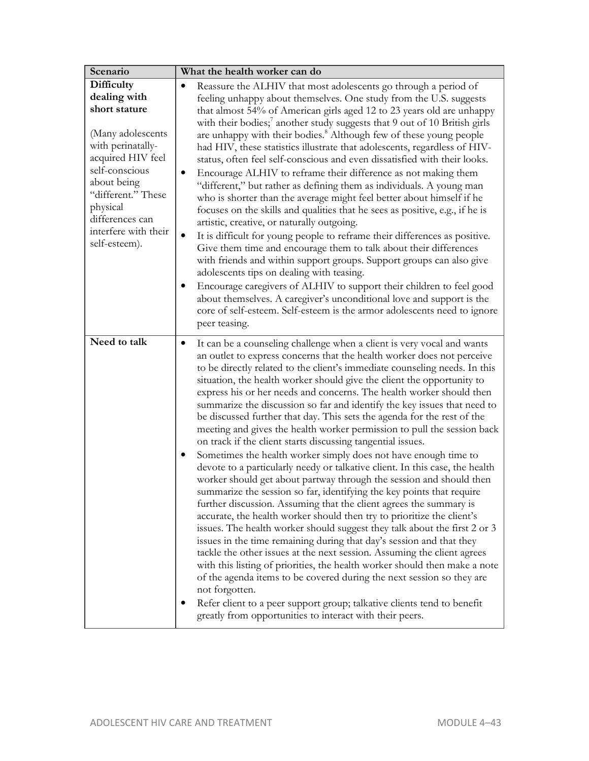| Scenario                                                                                                                                                                                                                                  | What the health worker can do                                                                                                                                                                                                                                                                                                                                                                                                                                                                                                                                                                                                                                                                                                                                                                                                                                                                                                                                                                                                                                                                                                                                                                                                                                                                                                                                                                                                                                                                                                                                                                                                                                                                     |
|-------------------------------------------------------------------------------------------------------------------------------------------------------------------------------------------------------------------------------------------|---------------------------------------------------------------------------------------------------------------------------------------------------------------------------------------------------------------------------------------------------------------------------------------------------------------------------------------------------------------------------------------------------------------------------------------------------------------------------------------------------------------------------------------------------------------------------------------------------------------------------------------------------------------------------------------------------------------------------------------------------------------------------------------------------------------------------------------------------------------------------------------------------------------------------------------------------------------------------------------------------------------------------------------------------------------------------------------------------------------------------------------------------------------------------------------------------------------------------------------------------------------------------------------------------------------------------------------------------------------------------------------------------------------------------------------------------------------------------------------------------------------------------------------------------------------------------------------------------------------------------------------------------------------------------------------------------|
| Difficulty<br>dealing with<br>short stature<br>(Many adolescents<br>with perinatally-<br>acquired HIV feel<br>self-conscious<br>about being<br>"different." These<br>physical<br>differences can<br>interfere with their<br>self-esteem). | Reassure the ALHIV that most adolescents go through a period of<br>feeling unhappy about themselves. One study from the U.S. suggests<br>that almost 54% of American girls aged 12 to 23 years old are unhappy<br>with their bodies; <sup>7</sup> another study suggests that 9 out of 10 British girls<br>are unhappy with their bodies. <sup>8</sup> Although few of these young people<br>had HIV, these statistics illustrate that adolescents, regardless of HIV-<br>status, often feel self-conscious and even dissatisfied with their looks.<br>Encourage ALHIV to reframe their difference as not making them<br>$\bullet$<br>"different," but rather as defining them as individuals. A young man<br>who is shorter than the average might feel better about himself if he<br>focuses on the skills and qualities that he sees as positive, e.g., if he is<br>artistic, creative, or naturally outgoing.<br>$\bullet$<br>It is difficult for young people to reframe their differences as positive.<br>Give them time and encourage them to talk about their differences<br>with friends and within support groups. Support groups can also give<br>adolescents tips on dealing with teasing.<br>Encourage caregivers of ALHIV to support their children to feel good<br>about themselves. A caregiver's unconditional love and support is the<br>core of self-esteem. Self-esteem is the armor adolescents need to ignore<br>peer teasing.                                                                                                                                                                                                                                              |
| Need to talk                                                                                                                                                                                                                              | It can be a counseling challenge when a client is very vocal and wants<br>$\bullet$<br>an outlet to express concerns that the health worker does not perceive<br>to be directly related to the client's immediate counseling needs. In this<br>situation, the health worker should give the client the opportunity to<br>express his or her needs and concerns. The health worker should then<br>summarize the discussion so far and identify the key issues that need to<br>be discussed further that day. This sets the agenda for the rest of the<br>meeting and gives the health worker permission to pull the session back<br>on track if the client starts discussing tangential issues.<br>Sometimes the health worker simply does not have enough time to<br>devote to a particularly needy or talkative client. In this case, the health<br>worker should get about partway through the session and should then<br>summarize the session so far, identifying the key points that require<br>further discussion. Assuming that the client agrees the summary is<br>accurate, the health worker should then try to prioritize the client's<br>issues. The health worker should suggest they talk about the first 2 or 3<br>issues in the time remaining during that day's session and that they<br>tackle the other issues at the next session. Assuming the client agrees<br>with this listing of priorities, the health worker should then make a note<br>of the agenda items to be covered during the next session so they are<br>not forgotten.<br>Refer client to a peer support group; talkative clients tend to benefit<br>greatly from opportunities to interact with their peers. |